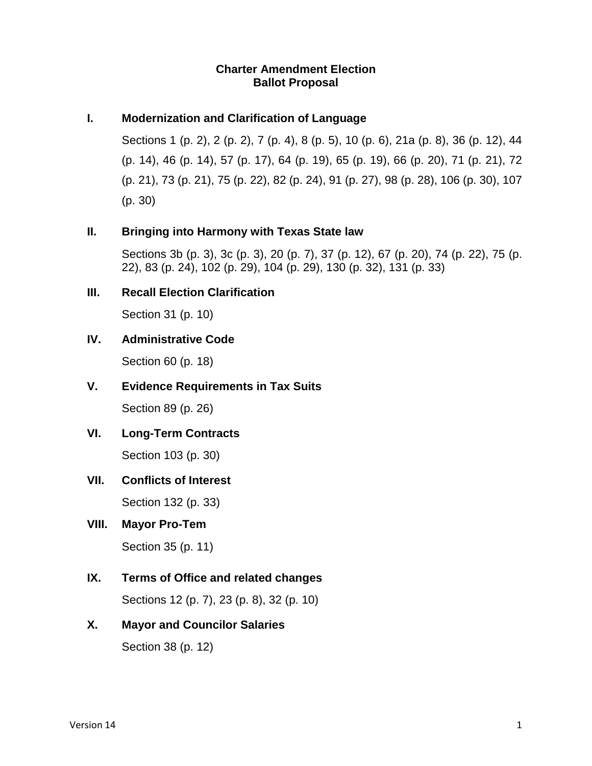## **Charter Amendment Election Ballot Proposal**

## **I. Modernization and Clarification of Language**

Sections 1 (p. 2), 2 (p. 2), 7 (p. 4), 8 (p. 5), 10 (p. 6), 21a (p. 8), 36 (p. 12), 44 (p. 14), 46 (p. 14), 57 (p. 17), 64 (p. 19), 65 (p. 19), 66 (p. 20), 71 (p. 21), 72 (p. 21), 73 (p. 21), 75 (p. 22), 82 (p. 24), 91 (p. 27), 98 (p. 28), 106 (p. 30), 107 (p. 30)

## **II. Bringing into Harmony with Texas State law**

Sections 3b (p. 3), 3c (p. 3), 20 (p. 7), 37 (p. 12), 67 (p. 20), 74 (p. 22), 75 (p. 22), 83 (p. 24), 102 (p. 29), 104 (p. 29), 130 (p. 32), 131 (p. 33)

# **III. Recall Election Clarification**

Section 31 (p. 10)

# **IV. Administrative Code**

Section 60 (p. 18)

## **V. Evidence Requirements in Tax Suits**

Section 89 (p. 26)

# **VI. Long-Term Contracts**

Section 103 (p. 30)

## **VII. Conflicts of Interest**

Section 132 (p. 33)

## **VIII. Mayor Pro-Tem**

Section 35 (p. 11)

# **IX. Terms of Office and related changes**

Sections 12 (p. 7), 23 (p. 8), 32 (p. 10)

# **X. Mayor and Councilor Salaries**

Section 38 (p. 12)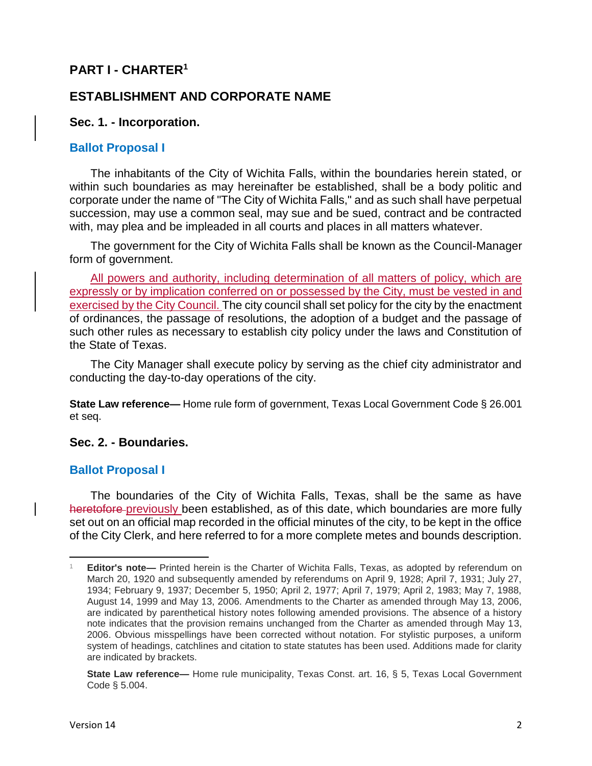# **PART I - CHARTER<sup>1</sup>**

# **ESTABLISHMENT AND CORPORATE NAME**

## **Sec. 1. - Incorporation.**

## **Ballot Proposal I**

The inhabitants of the City of Wichita Falls, within the boundaries herein stated, or within such boundaries as may hereinafter be established, shall be a body politic and corporate under the name of "The City of Wichita Falls," and as such shall have perpetual succession, may use a common seal, may sue and be sued, contract and be contracted with, may plea and be impleaded in all courts and places in all matters whatever.

The government for the City of Wichita Falls shall be known as the Council-Manager form of government.

All powers and authority, including determination of all matters of policy, which are expressly or by implication conferred on or possessed by the City, must be vested in and exercised by the City Council. The city council shall set policy for the city by the enactment of ordinances, the passage of resolutions, the adoption of a budget and the passage of such other rules as necessary to establish city policy under the laws and Constitution of the State of Texas.

The City Manager shall execute policy by serving as the chief city administrator and conducting the day-to-day operations of the city.

**State Law reference—** Home rule form of government, Texas Local Government Code § 26.001 et seq.

## **Sec. 2. - Boundaries.**

## **Ballot Proposal I**

The boundaries of the City of Wichita Falls, Texas, shall be the same as have heretofore previously been established, as of this date, which boundaries are more fully set out on an official map recorded in the official minutes of the city, to be kept in the office of the City Clerk, and here referred to for a more complete metes and bounds description.

 $\overline{\phantom{a}}$ <sup>1</sup> **Editor's note—** Printed herein is the Charter of Wichita Falls, Texas, as adopted by referendum on March 20, 1920 and subsequently amended by referendums on April 9, 1928; April 7, 1931; July 27, 1934; February 9, 1937; December 5, 1950; April 2, 1977; April 7, 1979; April 2, 1983; May 7, 1988, August 14, 1999 and May 13, 2006. Amendments to the Charter as amended through May 13, 2006, are indicated by parenthetical history notes following amended provisions. The absence of a history note indicates that the provision remains unchanged from the Charter as amended through May 13, 2006. Obvious misspellings have been corrected without notation. For stylistic purposes, a uniform system of headings, catchlines and citation to state statutes has been used. Additions made for clarity are indicated by brackets.

**State Law reference—** Home rule municipality, Texas Const. art. 16, § 5, Texas Local Government Code § 5.004.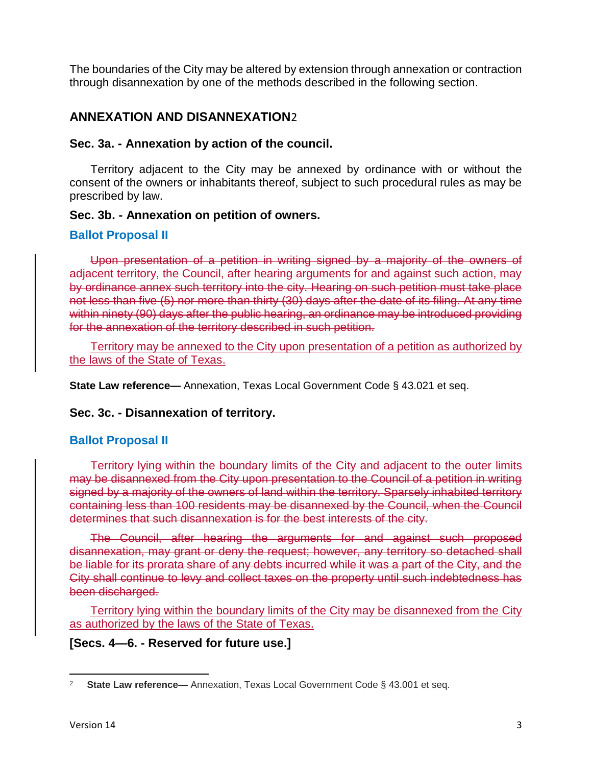The boundaries of the City may be altered by extension through annexation or contraction through disannexation by one of the methods described in the following section.

# **ANNEXATION AND DISANNEXATION**2

# **Sec. 3a. - Annexation by action of the council.**

Territory adjacent to the City may be annexed by ordinance with or without the consent of the owners or inhabitants thereof, subject to such procedural rules as may be prescribed by law.

# **Sec. 3b. - Annexation on petition of owners.**

# **Ballot Proposal II**

Upon presentation of a petition in writing signed by a majority of the owners of adjacent territory, the Council, after hearing arguments for and against such action, may by ordinance annex such territory into the city. Hearing on such petition must take place not less than five (5) nor more than thirty (30) days after the date of its filing. At any time within ninety (90) days after the public hearing, an ordinance may be introduced providing for the annexation of the territory described in such petition.

Territory may be annexed to the City upon presentation of a petition as authorized by the laws of the State of Texas.

**State Law reference—** Annexation, Texas Local Government Code § 43.021 et seq.

# **Sec. 3c. - Disannexation of territory.**

# **Ballot Proposal II**

Territory lying within the boundary limits of the City and adjacent to the outer limits may be disannexed from the City upon presentation to the Council of a petition in writing signed by a majority of the owners of land within the territory. Sparsely inhabited territory containing less than 100 residents may be disannexed by the Council, when the Council determines that such disannexation is for the best interests of the city.

The Council, after hearing the arguments for and against such proposed disannexation, may grant or deny the request; however, any territory so detached shall be liable for its prorata share of any debts incurred while it was a part of the City, and the City shall continue to levy and collect taxes on the property until such indebtedness has been discharged.

Territory lying within the boundary limits of the City may be disannexed from the City as authorized by the laws of the State of Texas.

# **[Secs. 4—6. - Reserved for future use.]**

 $\overline{\phantom{a}}$ <sup>2</sup> **State Law reference—** Annexation, Texas Local Government Code § 43.001 et seq.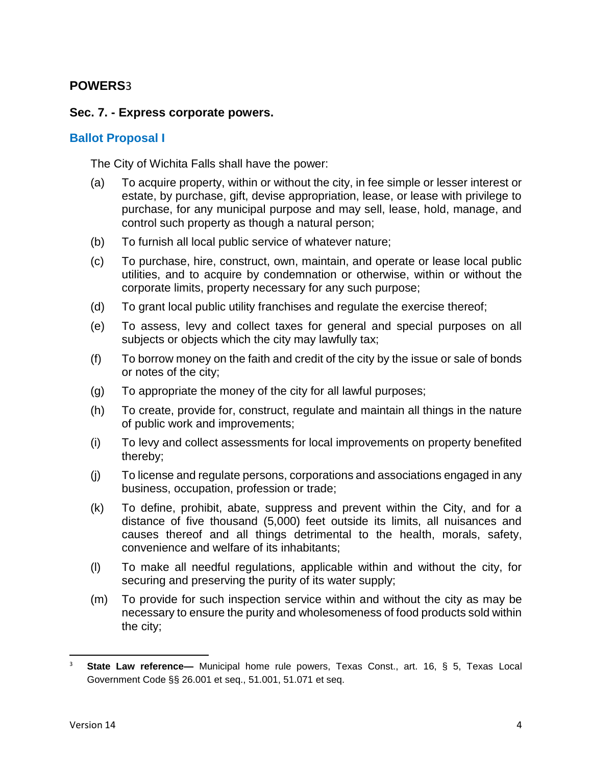# **POWERS**3

## **Sec. 7. - Express corporate powers.**

## **Ballot Proposal I**

The City of Wichita Falls shall have the power:

- (a) To acquire property, within or without the city, in fee simple or lesser interest or estate, by purchase, gift, devise appropriation, lease, or lease with privilege to purchase, for any municipal purpose and may sell, lease, hold, manage, and control such property as though a natural person;
- (b) To furnish all local public service of whatever nature;
- (c) To purchase, hire, construct, own, maintain, and operate or lease local public utilities, and to acquire by condemnation or otherwise, within or without the corporate limits, property necessary for any such purpose;
- (d) To grant local public utility franchises and regulate the exercise thereof;
- (e) To assess, levy and collect taxes for general and special purposes on all subjects or objects which the city may lawfully tax;
- (f) To borrow money on the faith and credit of the city by the issue or sale of bonds or notes of the city;
- (g) To appropriate the money of the city for all lawful purposes;
- (h) To create, provide for, construct, regulate and maintain all things in the nature of public work and improvements;
- (i) To levy and collect assessments for local improvements on property benefited thereby;
- (j) To license and regulate persons, corporations and associations engaged in any business, occupation, profession or trade;
- (k) To define, prohibit, abate, suppress and prevent within the City, and for a distance of five thousand (5,000) feet outside its limits, all nuisances and causes thereof and all things detrimental to the health, morals, safety, convenience and welfare of its inhabitants;
- (l) To make all needful regulations, applicable within and without the city, for securing and preserving the purity of its water supply;
- (m) To provide for such inspection service within and without the city as may be necessary to ensure the purity and wholesomeness of food products sold within the city;

 $\overline{a}$ 

<sup>3</sup> **State Law reference—** Municipal home rule powers, Texas Const., art. 16, § 5, Texas Local Government Code §§ 26.001 et seq., 51.001, 51.071 et seq.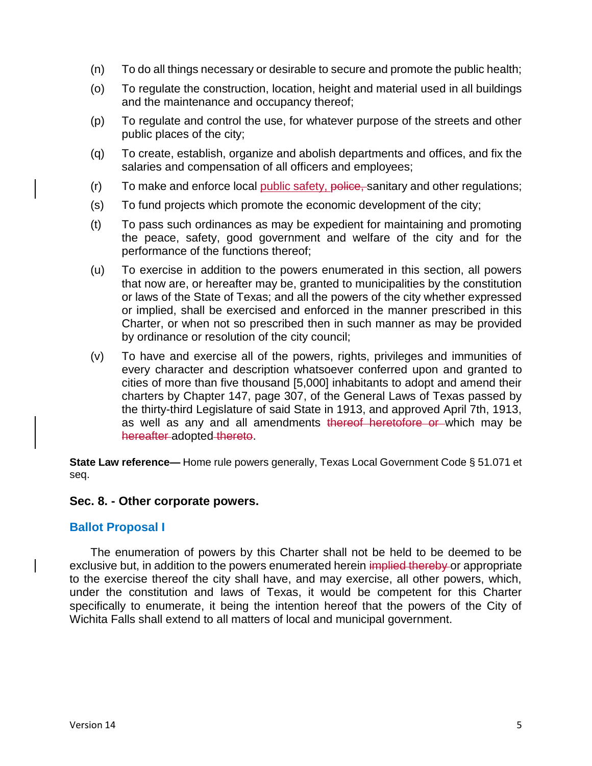- (n) To do all things necessary or desirable to secure and promote the public health;
- (o) To regulate the construction, location, height and material used in all buildings and the maintenance and occupancy thereof;
- (p) To regulate and control the use, for whatever purpose of the streets and other public places of the city;
- (q) To create, establish, organize and abolish departments and offices, and fix the salaries and compensation of all officers and employees;
- (r) To make and enforce local public safety, police, sanitary and other regulations;
- (s) To fund projects which promote the economic development of the city;
- (t) To pass such ordinances as may be expedient for maintaining and promoting the peace, safety, good government and welfare of the city and for the performance of the functions thereof;
- (u) To exercise in addition to the powers enumerated in this section, all powers that now are, or hereafter may be, granted to municipalities by the constitution or laws of the State of Texas; and all the powers of the city whether expressed or implied, shall be exercised and enforced in the manner prescribed in this Charter, or when not so prescribed then in such manner as may be provided by ordinance or resolution of the city council;
- (v) To have and exercise all of the powers, rights, privileges and immunities of every character and description whatsoever conferred upon and granted to cities of more than five thousand [5,000] inhabitants to adopt and amend their charters by Chapter 147, page 307, of the General Laws of Texas passed by the thirty-third Legislature of said State in 1913, and approved April 7th, 1913, as well as any and all amendments thereof heretofore or which may be hereafter adopted thereto.

**State Law reference—** Home rule powers generally, Texas Local Government Code § 51.071 et seq.

## **Sec. 8. - Other corporate powers.**

## **Ballot Proposal I**

The enumeration of powers by this Charter shall not be held to be deemed to be exclusive but, in addition to the powers enumerated herein implied thereby or appropriate to the exercise thereof the city shall have, and may exercise, all other powers, which, under the constitution and laws of Texas, it would be competent for this Charter specifically to enumerate, it being the intention hereof that the powers of the City of Wichita Falls shall extend to all matters of local and municipal government.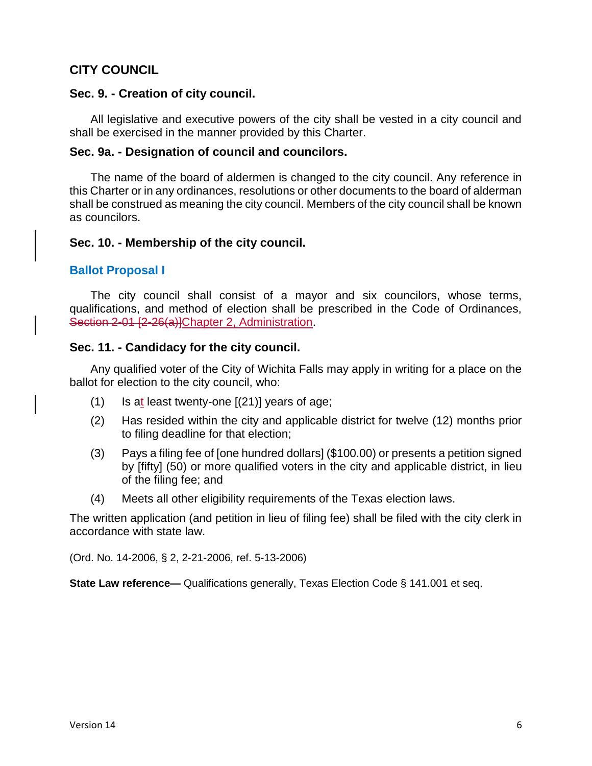# **CITY COUNCIL**

## **Sec. 9. - Creation of city council.**

All legislative and executive powers of the city shall be vested in a city council and shall be exercised in the manner provided by this Charter.

## **Sec. 9a. - Designation of council and councilors.**

The name of the board of aldermen is changed to the city council. Any reference in this Charter or in any ordinances, resolutions or other documents to the board of alderman shall be construed as meaning the city council. Members of the city council shall be known as councilors.

## **Sec. 10. - Membership of the city council.**

## **Ballot Proposal I**

The city council shall consist of a mayor and six councilors, whose terms, qualifications, and method of election shall be prescribed in the Code of Ordinances, Section 2-01 [2-26(a)]Chapter 2, Administration.

## **Sec. 11. - Candidacy for the city council.**

Any qualified voter of the City of Wichita Falls may apply in writing for a place on the ballot for election to the city council, who:

- $(1)$  Is at least twenty-one  $[(21)]$  years of age;
- (2) Has resided within the city and applicable district for twelve (12) months prior to filing deadline for that election;
- (3) Pays a filing fee of [one hundred dollars] (\$100.00) or presents a petition signed by [fifty] (50) or more qualified voters in the city and applicable district, in lieu of the filing fee; and
- (4) Meets all other eligibility requirements of the Texas election laws.

The written application (and petition in lieu of filing fee) shall be filed with the city clerk in accordance with state law.

(Ord. No. 14-2006, § 2, 2-21-2006, ref. 5-13-2006)

**State Law reference—** Qualifications generally, Texas Election Code § 141.001 et seq.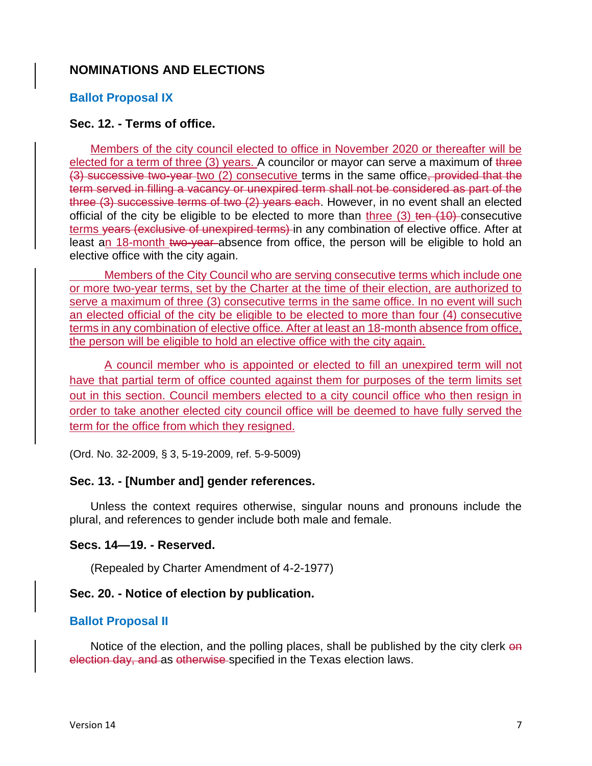## **NOMINATIONS AND ELECTIONS**

## **Ballot Proposal IX**

## **Sec. 12. - Terms of office.**

Members of the city council elected to office in November 2020 or thereafter will be elected for a term of three (3) years. A councilor or mayor can serve a maximum of three (3) successive two-year two (2) consecutive terms in the same office, provided that the term served in filling a vacancy or unexpired term shall not be considered as part of the three (3) successive terms of two (2) years each. However, in no event shall an elected official of the city be eligible to be elected to more than three  $(3)$  ten  $(10)$  consecutive terms vears (exclusive of unexpired terms) in any combination of elective office. After at least an 18-month two-year-absence from office, the person will be eligible to hold an elective office with the city again.

Members of the City Council who are serving consecutive terms which include one or more two-year terms, set by the Charter at the time of their election, are authorized to serve a maximum of three (3) consecutive terms in the same office. In no event will such an elected official of the city be eligible to be elected to more than four (4) consecutive terms in any combination of elective office. After at least an 18-month absence from office, the person will be eligible to hold an elective office with the city again.

A council member who is appointed or elected to fill an unexpired term will not have that partial term of office counted against them for purposes of the term limits set out in this section. Council members elected to a city council office who then resign in order to take another elected city council office will be deemed to have fully served the term for the office from which they resigned.

(Ord. No. 32-2009, § 3, 5-19-2009, ref. 5-9-5009)

## **Sec. 13. - [Number and] gender references.**

Unless the context requires otherwise, singular nouns and pronouns include the plural, and references to gender include both male and female.

## **Secs. 14—19. - Reserved.**

(Repealed by Charter Amendment of 4-2-1977)

## **Sec. 20. - Notice of election by publication.**

## **Ballot Proposal II**

Notice of the election, and the polling places, shall be published by the city clerk on election day, and as otherwise specified in the Texas election laws.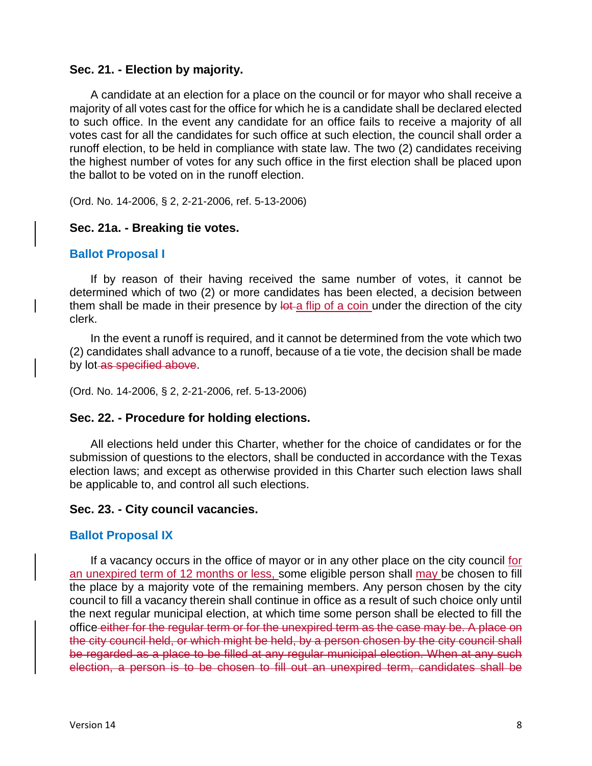## **Sec. 21. - Election by majority.**

A candidate at an election for a place on the council or for mayor who shall receive a majority of all votes cast for the office for which he is a candidate shall be declared elected to such office. In the event any candidate for an office fails to receive a majority of all votes cast for all the candidates for such office at such election, the council shall order a runoff election, to be held in compliance with state law. The two (2) candidates receiving the highest number of votes for any such office in the first election shall be placed upon the ballot to be voted on in the runoff election.

(Ord. No. 14-2006, § 2, 2-21-2006, ref. 5-13-2006)

## **Sec. 21a. - Breaking tie votes.**

## **Ballot Proposal I**

If by reason of their having received the same number of votes, it cannot be determined which of two (2) or more candidates has been elected, a decision between them shall be made in their presence by lot a flip of a coin under the direction of the city clerk.

In the event a runoff is required, and it cannot be determined from the vote which two (2) candidates shall advance to a runoff, because of a tie vote, the decision shall be made by lot as specified above.

(Ord. No. 14-2006, § 2, 2-21-2006, ref. 5-13-2006)

## **Sec. 22. - Procedure for holding elections.**

All elections held under this Charter, whether for the choice of candidates or for the submission of questions to the electors, shall be conducted in accordance with the Texas election laws; and except as otherwise provided in this Charter such election laws shall be applicable to, and control all such elections.

## **Sec. 23. - City council vacancies.**

## **Ballot Proposal IX**

If a vacancy occurs in the office of mayor or in any other place on the city council for an unexpired term of 12 months or less, some eligible person shall may be chosen to fill the place by a majority vote of the remaining members. Any person chosen by the city council to fill a vacancy therein shall continue in office as a result of such choice only until the next regular municipal election, at which time some person shall be elected to fill the office either for the regular term or for the unexpired term as the case may be. A place on the city council held, or which might be held, by a person chosen by the city council shall be regarded as a place to be filled at any regular municipal election. When at any such election, a person is to be chosen to fill out an unexpired term, candidates shall be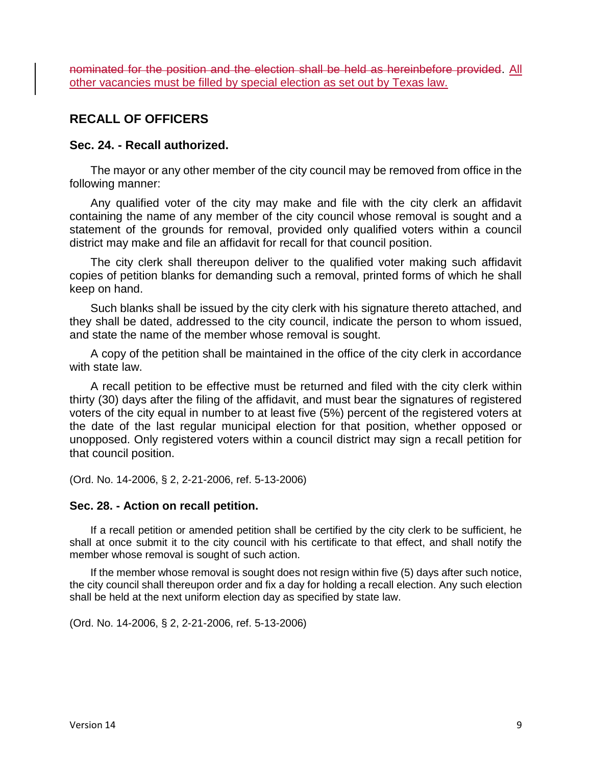nominated for the position and the election shall be held as hereinbefore provided. All other vacancies must be filled by special election as set out by Texas law.

# **RECALL OF OFFICERS**

## **Sec. 24. - Recall authorized.**

The mayor or any other member of the city council may be removed from office in the following manner:

Any qualified voter of the city may make and file with the city clerk an affidavit containing the name of any member of the city council whose removal is sought and a statement of the grounds for removal, provided only qualified voters within a council district may make and file an affidavit for recall for that council position.

The city clerk shall thereupon deliver to the qualified voter making such affidavit copies of petition blanks for demanding such a removal, printed forms of which he shall keep on hand.

Such blanks shall be issued by the city clerk with his signature thereto attached, and they shall be dated, addressed to the city council, indicate the person to whom issued, and state the name of the member whose removal is sought.

A copy of the petition shall be maintained in the office of the city clerk in accordance with state law.

A recall petition to be effective must be returned and filed with the city clerk within thirty (30) days after the filing of the affidavit, and must bear the signatures of registered voters of the city equal in number to at least five (5%) percent of the registered voters at the date of the last regular municipal election for that position, whether opposed or unopposed. Only registered voters within a council district may sign a recall petition for that council position.

(Ord. No. 14-2006, § 2, 2-21-2006, ref. 5-13-2006)

## **Sec. 28. - Action on recall petition.**

If a recall petition or amended petition shall be certified by the city clerk to be sufficient, he shall at once submit it to the city council with his certificate to that effect, and shall notify the member whose removal is sought of such action.

If the member whose removal is sought does not resign within five (5) days after such notice, the city council shall thereupon order and fix a day for holding a recall election. Any such election shall be held at the next uniform election day as specified by state law.

(Ord. No. 14-2006, § 2, 2-21-2006, ref. 5-13-2006)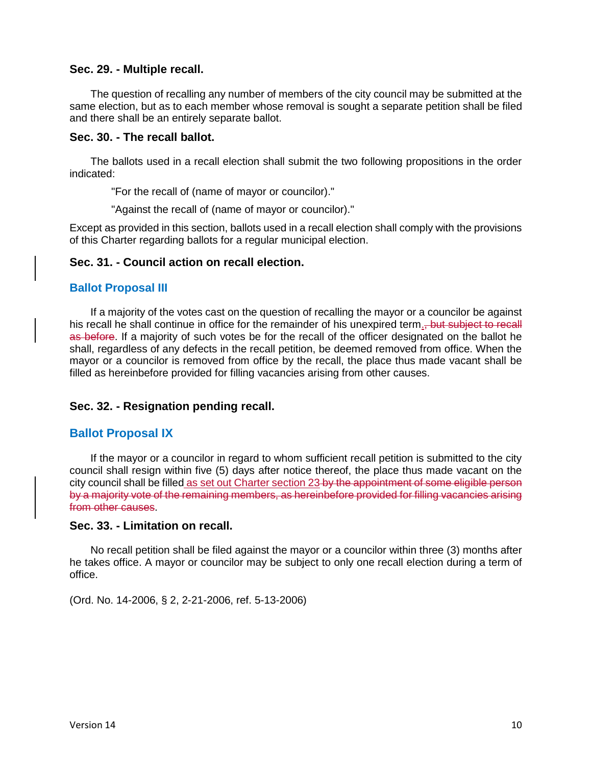### **Sec. 29. - Multiple recall.**

The question of recalling any number of members of the city council may be submitted at the same election, but as to each member whose removal is sought a separate petition shall be filed and there shall be an entirely separate ballot.

#### **Sec. 30. - The recall ballot.**

The ballots used in a recall election shall submit the two following propositions in the order indicated:

"For the recall of (name of mayor or councilor)."

"Against the recall of (name of mayor or councilor)."

Except as provided in this section, ballots used in a recall election shall comply with the provisions of this Charter regarding ballots for a regular municipal election.

### **Sec. 31. - Council action on recall election.**

### **Ballot Proposal III**

If a majority of the votes cast on the question of recalling the mayor or a councilor be against his recall he shall continue in office for the remainder of his unexpired term. but subject to recall as before. If a majority of such votes be for the recall of the officer designated on the ballot he shall, regardless of any defects in the recall petition, be deemed removed from office. When the mayor or a councilor is removed from office by the recall, the place thus made vacant shall be filled as hereinbefore provided for filling vacancies arising from other causes.

## **Sec. 32. - Resignation pending recall.**

#### **Ballot Proposal IX**

If the mayor or a councilor in regard to whom sufficient recall petition is submitted to the city council shall resign within five (5) days after notice thereof, the place thus made vacant on the city council shall be filled as set out Charter section 23-by the appointment of some eligible person by a majority vote of the remaining members, as hereinbefore provided for filling vacancies arising from other causes.

#### **Sec. 33. - Limitation on recall.**

No recall petition shall be filed against the mayor or a councilor within three (3) months after he takes office. A mayor or councilor may be subject to only one recall election during a term of office.

(Ord. No. 14-2006, § 2, 2-21-2006, ref. 5-13-2006)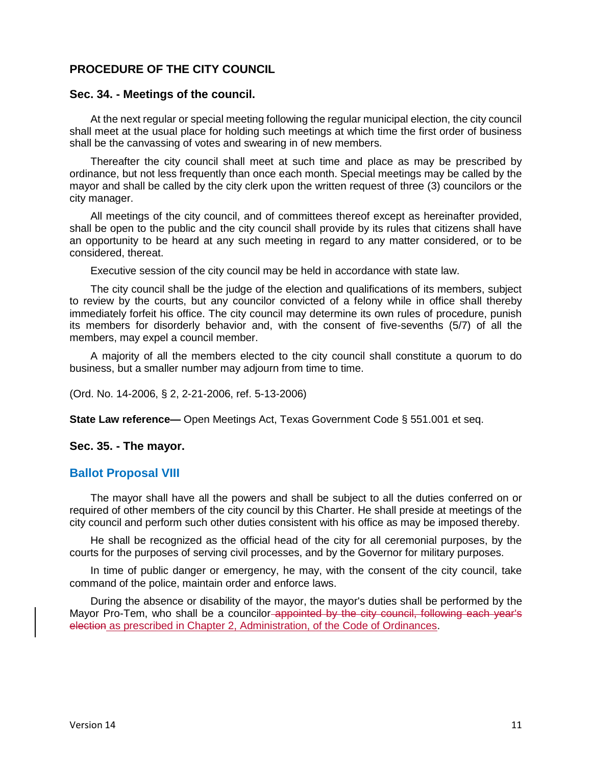## **PROCEDURE OF THE CITY COUNCIL**

#### **Sec. 34. - Meetings of the council.**

At the next regular or special meeting following the regular municipal election, the city council shall meet at the usual place for holding such meetings at which time the first order of business shall be the canvassing of votes and swearing in of new members.

Thereafter the city council shall meet at such time and place as may be prescribed by ordinance, but not less frequently than once each month. Special meetings may be called by the mayor and shall be called by the city clerk upon the written request of three (3) councilors or the city manager.

All meetings of the city council, and of committees thereof except as hereinafter provided, shall be open to the public and the city council shall provide by its rules that citizens shall have an opportunity to be heard at any such meeting in regard to any matter considered, or to be considered, thereat.

Executive session of the city council may be held in accordance with state law.

The city council shall be the judge of the election and qualifications of its members, subject to review by the courts, but any councilor convicted of a felony while in office shall thereby immediately forfeit his office. The city council may determine its own rules of procedure, punish its members for disorderly behavior and, with the consent of five-sevenths (5/7) of all the members, may expel a council member.

A majority of all the members elected to the city council shall constitute a quorum to do business, but a smaller number may adjourn from time to time.

(Ord. No. 14-2006, § 2, 2-21-2006, ref. 5-13-2006)

**State Law reference—** Open Meetings Act, Texas Government Code § 551.001 et seq.

#### **Sec. 35. - The mayor.**

## **Ballot Proposal VIII**

The mayor shall have all the powers and shall be subject to all the duties conferred on or required of other members of the city council by this Charter. He shall preside at meetings of the city council and perform such other duties consistent with his office as may be imposed thereby.

He shall be recognized as the official head of the city for all ceremonial purposes, by the courts for the purposes of serving civil processes, and by the Governor for military purposes.

In time of public danger or emergency, he may, with the consent of the city council, take command of the police, maintain order and enforce laws.

During the absence or disability of the mayor, the mayor's duties shall be performed by the Mayor Pro-Tem, who shall be a councilor-appointed by the city council, following each year's election as prescribed in Chapter 2, Administration, of the Code of Ordinances.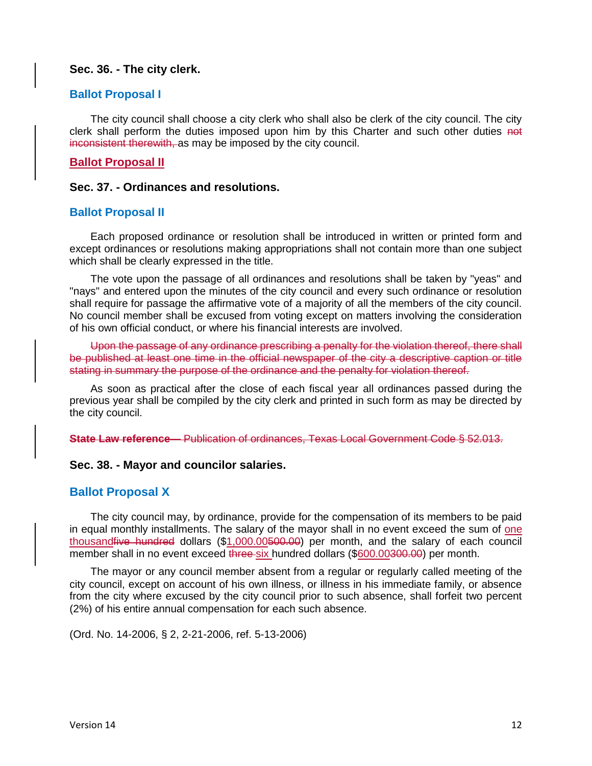#### **Sec. 36. - The city clerk.**

#### **Ballot Proposal I**

The city council shall choose a city clerk who shall also be clerk of the city council. The city clerk shall perform the duties imposed upon him by this Charter and such other duties not inconsistent therewith, as may be imposed by the city council.

#### **Ballot Proposal II**

#### **Sec. 37. - Ordinances and resolutions.**

#### **Ballot Proposal II**

Each proposed ordinance or resolution shall be introduced in written or printed form and except ordinances or resolutions making appropriations shall not contain more than one subject which shall be clearly expressed in the title.

The vote upon the passage of all ordinances and resolutions shall be taken by "yeas" and "nays" and entered upon the minutes of the city council and every such ordinance or resolution shall require for passage the affirmative vote of a majority of all the members of the city council. No council member shall be excused from voting except on matters involving the consideration of his own official conduct, or where his financial interests are involved.

Upon the passage of any ordinance prescribing a penalty for the violation thereof, there shall be published at least one time in the official newspaper of the city a descriptive caption or title stating in summary the purpose of the ordinance and the penalty for violation thereof.

As soon as practical after the close of each fiscal year all ordinances passed during the previous year shall be compiled by the city clerk and printed in such form as may be directed by the city council.

**State Law reference—** Publication of ordinances, Texas Local Government Code § 52.013.

#### **Sec. 38. - Mayor and councilor salaries.**

#### **Ballot Proposal X**

The city council may, by ordinance, provide for the compensation of its members to be paid in equal monthly installments. The salary of the mayor shall in no event exceed the sum of one thousand five hundred dollars (\$1,000.00500.00) per month, and the salary of each council member shall in no event exceed three six hundred dollars (\$600.00300.00) per month.

The mayor or any council member absent from a regular or regularly called meeting of the city council, except on account of his own illness, or illness in his immediate family, or absence from the city where excused by the city council prior to such absence, shall forfeit two percent (2%) of his entire annual compensation for each such absence.

(Ord. No. 14-2006, § 2, 2-21-2006, ref. 5-13-2006)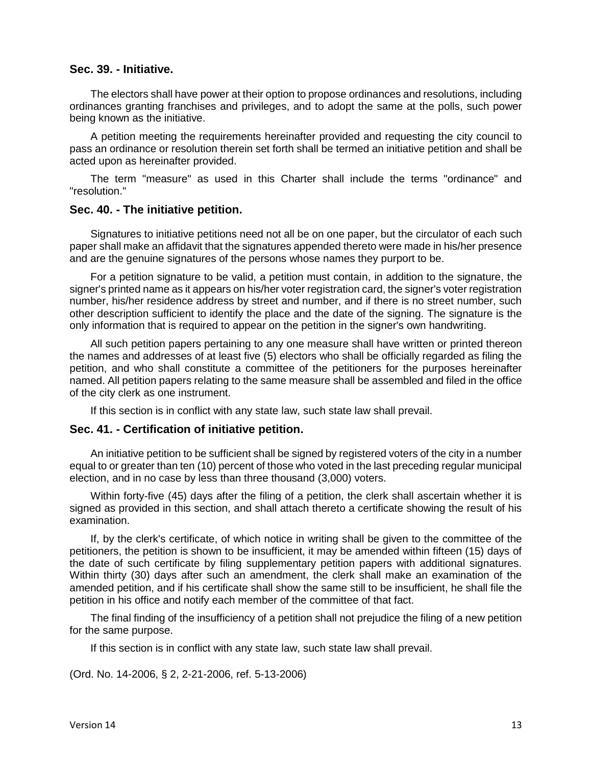### **Sec. 39. - Initiative.**

The electors shall have power at their option to propose ordinances and resolutions, including ordinances granting franchises and privileges, and to adopt the same at the polls, such power being known as the initiative.

A petition meeting the requirements hereinafter provided and requesting the city council to pass an ordinance or resolution therein set forth shall be termed an initiative petition and shall be acted upon as hereinafter provided.

The term "measure" as used in this Charter shall include the terms "ordinance" and "resolution."

#### **Sec. 40. - The initiative petition.**

Signatures to initiative petitions need not all be on one paper, but the circulator of each such paper shall make an affidavit that the signatures appended thereto were made in his/her presence and are the genuine signatures of the persons whose names they purport to be.

For a petition signature to be valid, a petition must contain, in addition to the signature, the signer's printed name as it appears on his/her voter registration card, the signer's voter registration number, his/her residence address by street and number, and if there is no street number, such other description sufficient to identify the place and the date of the signing. The signature is the only information that is required to appear on the petition in the signer's own handwriting.

All such petition papers pertaining to any one measure shall have written or printed thereon the names and addresses of at least five (5) electors who shall be officially regarded as filing the petition, and who shall constitute a committee of the petitioners for the purposes hereinafter named. All petition papers relating to the same measure shall be assembled and filed in the office of the city clerk as one instrument.

If this section is in conflict with any state law, such state law shall prevail.

#### **Sec. 41. - Certification of initiative petition.**

An initiative petition to be sufficient shall be signed by registered voters of the city in a number equal to or greater than ten (10) percent of those who voted in the last preceding regular municipal election, and in no case by less than three thousand (3,000) voters.

Within forty-five (45) days after the filing of a petition, the clerk shall ascertain whether it is signed as provided in this section, and shall attach thereto a certificate showing the result of his examination.

If, by the clerk's certificate, of which notice in writing shall be given to the committee of the petitioners, the petition is shown to be insufficient, it may be amended within fifteen (15) days of the date of such certificate by filing supplementary petition papers with additional signatures. Within thirty (30) days after such an amendment, the clerk shall make an examination of the amended petition, and if his certificate shall show the same still to be insufficient, he shall file the petition in his office and notify each member of the committee of that fact.

The final finding of the insufficiency of a petition shall not prejudice the filing of a new petition for the same purpose.

If this section is in conflict with any state law, such state law shall prevail.

(Ord. No. 14-2006, § 2, 2-21-2006, ref. 5-13-2006)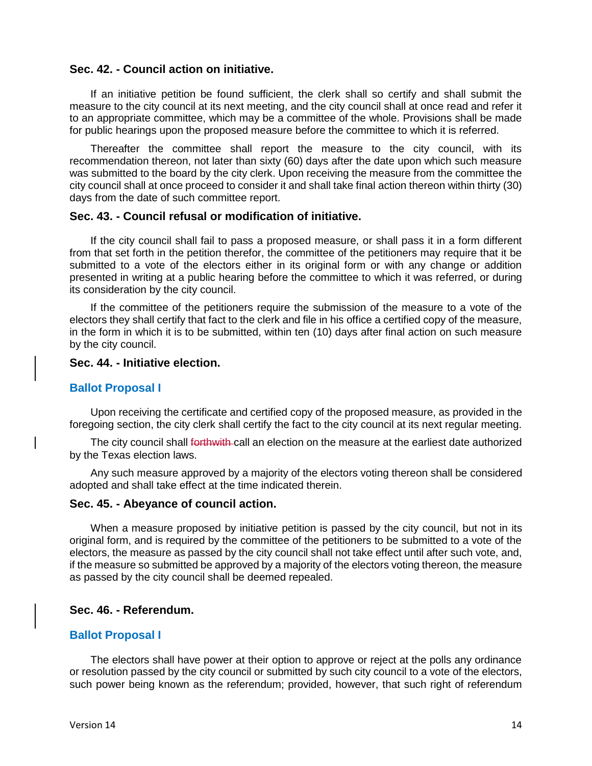## **Sec. 42. - Council action on initiative.**

If an initiative petition be found sufficient, the clerk shall so certify and shall submit the measure to the city council at its next meeting, and the city council shall at once read and refer it to an appropriate committee, which may be a committee of the whole. Provisions shall be made for public hearings upon the proposed measure before the committee to which it is referred.

Thereafter the committee shall report the measure to the city council, with its recommendation thereon, not later than sixty (60) days after the date upon which such measure was submitted to the board by the city clerk. Upon receiving the measure from the committee the city council shall at once proceed to consider it and shall take final action thereon within thirty (30) days from the date of such committee report.

#### **Sec. 43. - Council refusal or modification of initiative.**

If the city council shall fail to pass a proposed measure, or shall pass it in a form different from that set forth in the petition therefor, the committee of the petitioners may require that it be submitted to a vote of the electors either in its original form or with any change or addition presented in writing at a public hearing before the committee to which it was referred, or during its consideration by the city council.

If the committee of the petitioners require the submission of the measure to a vote of the electors they shall certify that fact to the clerk and file in his office a certified copy of the measure, in the form in which it is to be submitted, within ten (10) days after final action on such measure by the city council.

#### **Sec. 44. - Initiative election.**

#### **Ballot Proposal I**

Upon receiving the certificate and certified copy of the proposed measure, as provided in the foregoing section, the city clerk shall certify the fact to the city council at its next regular meeting.

The city council shall <del>forthwith c</del>all an election on the measure at the earliest date authorized by the Texas election laws.

Any such measure approved by a majority of the electors voting thereon shall be considered adopted and shall take effect at the time indicated therein.

#### **Sec. 45. - Abeyance of council action.**

When a measure proposed by initiative petition is passed by the city council, but not in its original form, and is required by the committee of the petitioners to be submitted to a vote of the electors, the measure as passed by the city council shall not take effect until after such vote, and, if the measure so submitted be approved by a majority of the electors voting thereon, the measure as passed by the city council shall be deemed repealed.

#### **Sec. 46. - Referendum.**

#### **Ballot Proposal I**

The electors shall have power at their option to approve or reject at the polls any ordinance or resolution passed by the city council or submitted by such city council to a vote of the electors, such power being known as the referendum; provided, however, that such right of referendum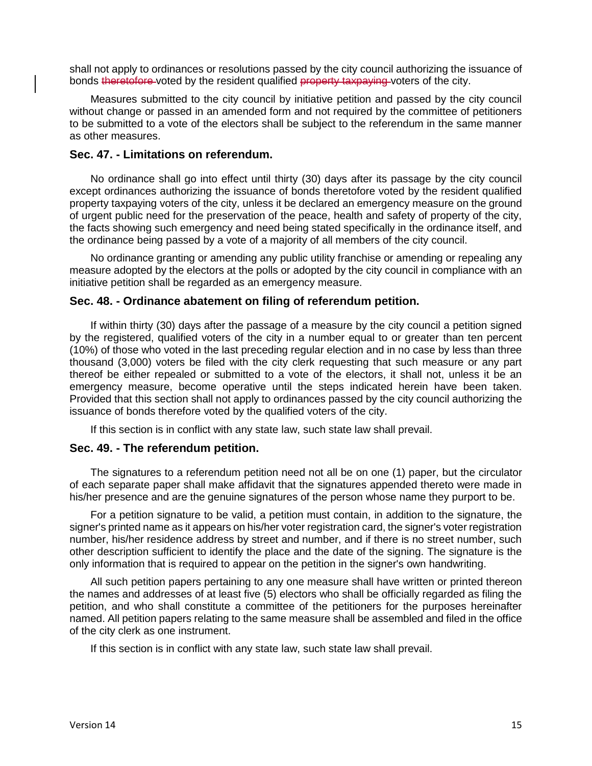shall not apply to ordinances or resolutions passed by the city council authorizing the issuance of bonds theretofore-voted by the resident qualified property taxpaying voters of the city.

Measures submitted to the city council by initiative petition and passed by the city council without change or passed in an amended form and not required by the committee of petitioners to be submitted to a vote of the electors shall be subject to the referendum in the same manner as other measures.

## **Sec. 47. - Limitations on referendum.**

No ordinance shall go into effect until thirty (30) days after its passage by the city council except ordinances authorizing the issuance of bonds theretofore voted by the resident qualified property taxpaying voters of the city, unless it be declared an emergency measure on the ground of urgent public need for the preservation of the peace, health and safety of property of the city, the facts showing such emergency and need being stated specifically in the ordinance itself, and the ordinance being passed by a vote of a majority of all members of the city council.

No ordinance granting or amending any public utility franchise or amending or repealing any measure adopted by the electors at the polls or adopted by the city council in compliance with an initiative petition shall be regarded as an emergency measure.

### **Sec. 48. - Ordinance abatement on filing of referendum petition.**

If within thirty (30) days after the passage of a measure by the city council a petition signed by the registered, qualified voters of the city in a number equal to or greater than ten percent (10%) of those who voted in the last preceding regular election and in no case by less than three thousand (3,000) voters be filed with the city clerk requesting that such measure or any part thereof be either repealed or submitted to a vote of the electors, it shall not, unless it be an emergency measure, become operative until the steps indicated herein have been taken. Provided that this section shall not apply to ordinances passed by the city council authorizing the issuance of bonds therefore voted by the qualified voters of the city.

If this section is in conflict with any state law, such state law shall prevail.

#### **Sec. 49. - The referendum petition.**

The signatures to a referendum petition need not all be on one (1) paper, but the circulator of each separate paper shall make affidavit that the signatures appended thereto were made in his/her presence and are the genuine signatures of the person whose name they purport to be.

For a petition signature to be valid, a petition must contain, in addition to the signature, the signer's printed name as it appears on his/her voter registration card, the signer's voter registration number, his/her residence address by street and number, and if there is no street number, such other description sufficient to identify the place and the date of the signing. The signature is the only information that is required to appear on the petition in the signer's own handwriting.

All such petition papers pertaining to any one measure shall have written or printed thereon the names and addresses of at least five (5) electors who shall be officially regarded as filing the petition, and who shall constitute a committee of the petitioners for the purposes hereinafter named. All petition papers relating to the same measure shall be assembled and filed in the office of the city clerk as one instrument.

If this section is in conflict with any state law, such state law shall prevail.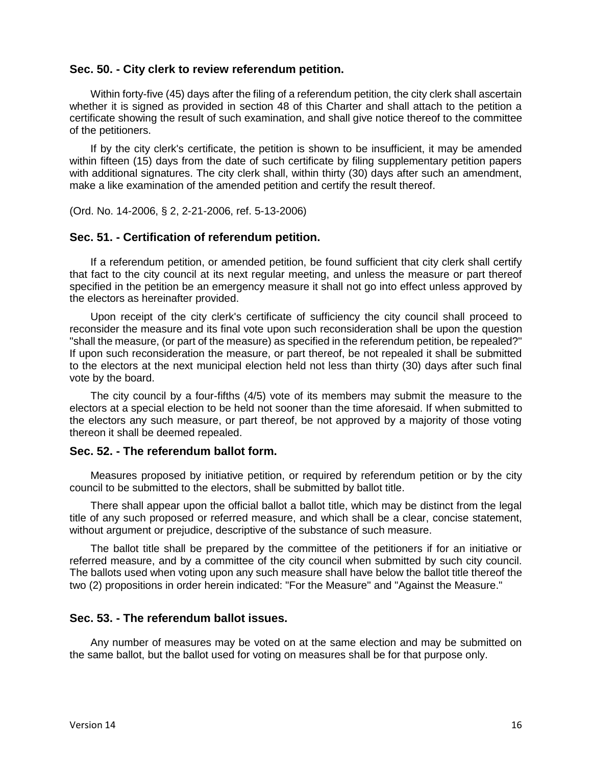## **Sec. 50. - City clerk to review referendum petition.**

Within forty-five (45) days after the filing of a referendum petition, the city clerk shall ascertain whether it is signed as provided in section 48 of this Charter and shall attach to the petition a certificate showing the result of such examination, and shall give notice thereof to the committee of the petitioners.

If by the city clerk's certificate, the petition is shown to be insufficient, it may be amended within fifteen (15) days from the date of such certificate by filing supplementary petition papers with additional signatures. The city clerk shall, within thirty (30) days after such an amendment, make a like examination of the amended petition and certify the result thereof.

(Ord. No. 14-2006, § 2, 2-21-2006, ref. 5-13-2006)

#### **Sec. 51. - Certification of referendum petition.**

If a referendum petition, or amended petition, be found sufficient that city clerk shall certify that fact to the city council at its next regular meeting, and unless the measure or part thereof specified in the petition be an emergency measure it shall not go into effect unless approved by the electors as hereinafter provided.

Upon receipt of the city clerk's certificate of sufficiency the city council shall proceed to reconsider the measure and its final vote upon such reconsideration shall be upon the question "shall the measure, (or part of the measure) as specified in the referendum petition, be repealed?" If upon such reconsideration the measure, or part thereof, be not repealed it shall be submitted to the electors at the next municipal election held not less than thirty (30) days after such final vote by the board.

The city council by a four-fifths (4/5) vote of its members may submit the measure to the electors at a special election to be held not sooner than the time aforesaid. If when submitted to the electors any such measure, or part thereof, be not approved by a majority of those voting thereon it shall be deemed repealed.

## **Sec. 52. - The referendum ballot form.**

Measures proposed by initiative petition, or required by referendum petition or by the city council to be submitted to the electors, shall be submitted by ballot title.

There shall appear upon the official ballot a ballot title, which may be distinct from the legal title of any such proposed or referred measure, and which shall be a clear, concise statement, without argument or prejudice, descriptive of the substance of such measure.

The ballot title shall be prepared by the committee of the petitioners if for an initiative or referred measure, and by a committee of the city council when submitted by such city council. The ballots used when voting upon any such measure shall have below the ballot title thereof the two (2) propositions in order herein indicated: "For the Measure" and "Against the Measure."

## **Sec. 53. - The referendum ballot issues.**

Any number of measures may be voted on at the same election and may be submitted on the same ballot, but the ballot used for voting on measures shall be for that purpose only.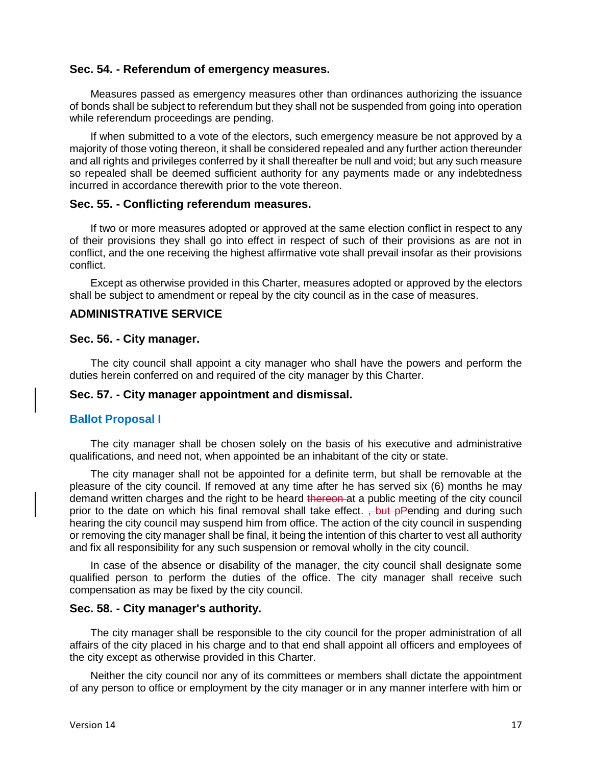## **Sec. 54. - Referendum of emergency measures.**

Measures passed as emergency measures other than ordinances authorizing the issuance of bonds shall be subject to referendum but they shall not be suspended from going into operation while referendum proceedings are pending.

If when submitted to a vote of the electors, such emergency measure be not approved by a majority of those voting thereon, it shall be considered repealed and any further action thereunder and all rights and privileges conferred by it shall thereafter be null and void; but any such measure so repealed shall be deemed sufficient authority for any payments made or any indebtedness incurred in accordance therewith prior to the vote thereon.

#### **Sec. 55. - Conflicting referendum measures.**

If two or more measures adopted or approved at the same election conflict in respect to any of their provisions they shall go into effect in respect of such of their provisions as are not in conflict, and the one receiving the highest affirmative vote shall prevail insofar as their provisions conflict.

Except as otherwise provided in this Charter, measures adopted or approved by the electors shall be subject to amendment or repeal by the city council as in the case of measures.

## **ADMINISTRATIVE SERVICE**

#### **Sec. 56. - City manager.**

The city council shall appoint a city manager who shall have the powers and perform the duties herein conferred on and required of the city manager by this Charter.

## **Sec. 57. - City manager appointment and dismissal.**

#### **Ballot Proposal I**

The city manager shall be chosen solely on the basis of his executive and administrative qualifications, and need not, when appointed be an inhabitant of the city or state.

The city manager shall not be appointed for a definite term, but shall be removable at the pleasure of the city council. If removed at any time after he has served six (6) months he may demand written charges and the right to be heard thereon at a public meeting of the city council prior to the date on which his final removal shall take effect.  $\frac{1}{2}$  but pPending and during such hearing the city council may suspend him from office. The action of the city council in suspending or removing the city manager shall be final, it being the intention of this charter to vest all authority and fix all responsibility for any such suspension or removal wholly in the city council.

In case of the absence or disability of the manager, the city council shall designate some qualified person to perform the duties of the office. The city manager shall receive such compensation as may be fixed by the city council.

#### **Sec. 58. - City manager's authority.**

The city manager shall be responsible to the city council for the proper administration of all affairs of the city placed in his charge and to that end shall appoint all officers and employees of the city except as otherwise provided in this Charter.

Neither the city council nor any of its committees or members shall dictate the appointment of any person to office or employment by the city manager or in any manner interfere with him or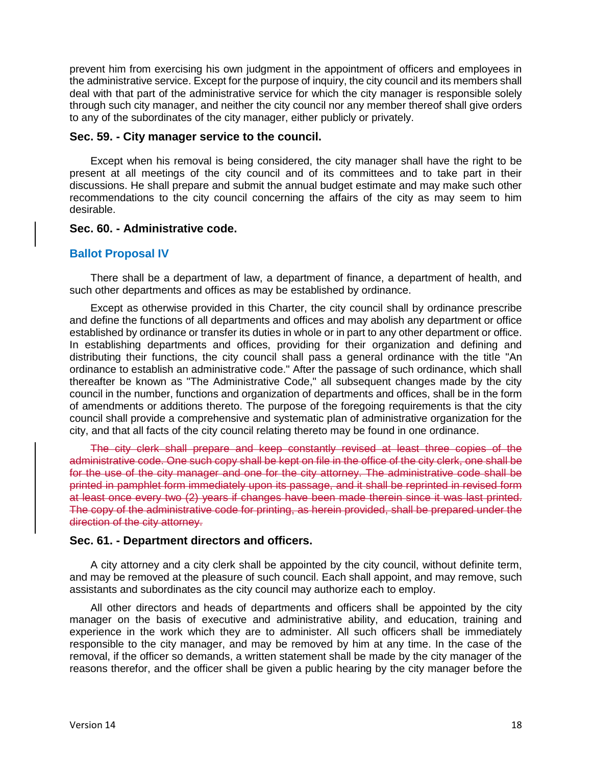prevent him from exercising his own judgment in the appointment of officers and employees in the administrative service. Except for the purpose of inquiry, the city council and its members shall deal with that part of the administrative service for which the city manager is responsible solely through such city manager, and neither the city council nor any member thereof shall give orders to any of the subordinates of the city manager, either publicly or privately.

#### **Sec. 59. - City manager service to the council.**

Except when his removal is being considered, the city manager shall have the right to be present at all meetings of the city council and of its committees and to take part in their discussions. He shall prepare and submit the annual budget estimate and may make such other recommendations to the city council concerning the affairs of the city as may seem to him desirable.

#### **Sec. 60. - Administrative code.**

#### **Ballot Proposal IV**

There shall be a department of law, a department of finance, a department of health, and such other departments and offices as may be established by ordinance.

Except as otherwise provided in this Charter, the city council shall by ordinance prescribe and define the functions of all departments and offices and may abolish any department or office established by ordinance or transfer its duties in whole or in part to any other department or office. In establishing departments and offices, providing for their organization and defining and distributing their functions, the city council shall pass a general ordinance with the title "An ordinance to establish an administrative code." After the passage of such ordinance, which shall thereafter be known as "The Administrative Code," all subsequent changes made by the city council in the number, functions and organization of departments and offices, shall be in the form of amendments or additions thereto. The purpose of the foregoing requirements is that the city council shall provide a comprehensive and systematic plan of administrative organization for the city, and that all facts of the city council relating thereto may be found in one ordinance.

The city clerk shall prepare and keep constantly revised at least three copies of the administrative code. One such copy shall be kept on file in the office of the city clerk, one shall be for the use of the city manager and one for the city attorney. The administrative code shall be printed in pamphlet form immediately upon its passage, and it shall be reprinted in revised form at least once every two (2) years if changes have been made therein since it was last printed. The copy of the administrative code for printing, as herein provided, shall be prepared under the direction of the city attorney.

#### **Sec. 61. - Department directors and officers.**

A city attorney and a city clerk shall be appointed by the city council, without definite term, and may be removed at the pleasure of such council. Each shall appoint, and may remove, such assistants and subordinates as the city council may authorize each to employ.

All other directors and heads of departments and officers shall be appointed by the city manager on the basis of executive and administrative ability, and education, training and experience in the work which they are to administer. All such officers shall be immediately responsible to the city manager, and may be removed by him at any time. In the case of the removal, if the officer so demands, a written statement shall be made by the city manager of the reasons therefor, and the officer shall be given a public hearing by the city manager before the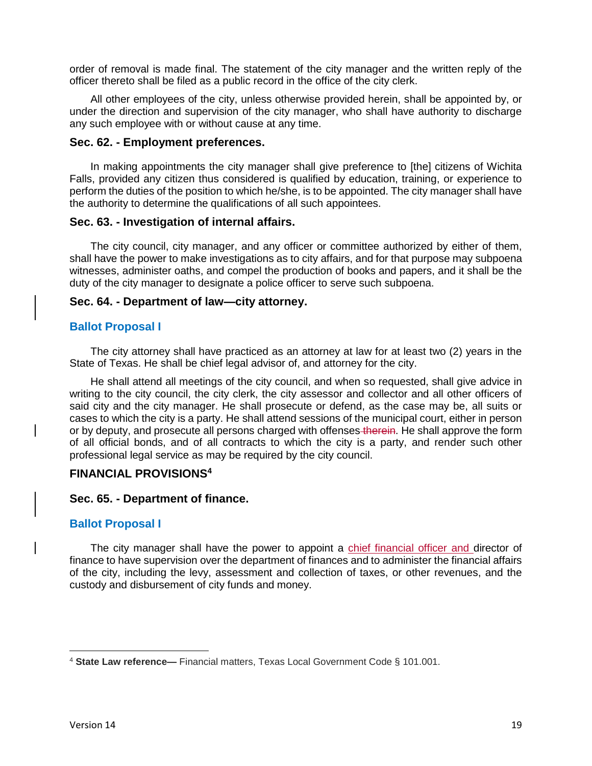order of removal is made final. The statement of the city manager and the written reply of the officer thereto shall be filed as a public record in the office of the city clerk.

All other employees of the city, unless otherwise provided herein, shall be appointed by, or under the direction and supervision of the city manager, who shall have authority to discharge any such employee with or without cause at any time.

#### **Sec. 62. - Employment preferences.**

In making appointments the city manager shall give preference to [the] citizens of Wichita Falls, provided any citizen thus considered is qualified by education, training, or experience to perform the duties of the position to which he/she, is to be appointed. The city manager shall have the authority to determine the qualifications of all such appointees.

### **Sec. 63. - Investigation of internal affairs.**

The city council, city manager, and any officer or committee authorized by either of them, shall have the power to make investigations as to city affairs, and for that purpose may subpoena witnesses, administer oaths, and compel the production of books and papers, and it shall be the duty of the city manager to designate a police officer to serve such subpoena.

### **Sec. 64. - Department of law—city attorney.**

### **Ballot Proposal I**

The city attorney shall have practiced as an attorney at law for at least two (2) years in the State of Texas. He shall be chief legal advisor of, and attorney for the city.

He shall attend all meetings of the city council, and when so requested, shall give advice in writing to the city council, the city clerk, the city assessor and collector and all other officers of said city and the city manager. He shall prosecute or defend, as the case may be, all suits or cases to which the city is a party. He shall attend sessions of the municipal court, either in person or by deputy, and prosecute all persons charged with offenses therein. He shall approve the form of all official bonds, and of all contracts to which the city is a party, and render such other professional legal service as may be required by the city council.

## **FINANCIAL PROVISIONS<sup>4</sup>**

#### **Sec. 65. - Department of finance.**

## **Ballot Proposal I**

The city manager shall have the power to appoint a chief financial officer and director of finance to have supervision over the department of finances and to administer the financial affairs of the city, including the levy, assessment and collection of taxes, or other revenues, and the custody and disbursement of city funds and money.

 $\overline{\phantom{a}}$ 

<sup>4</sup> **State Law reference—** Financial matters, Texas Local Government Code § 101.001.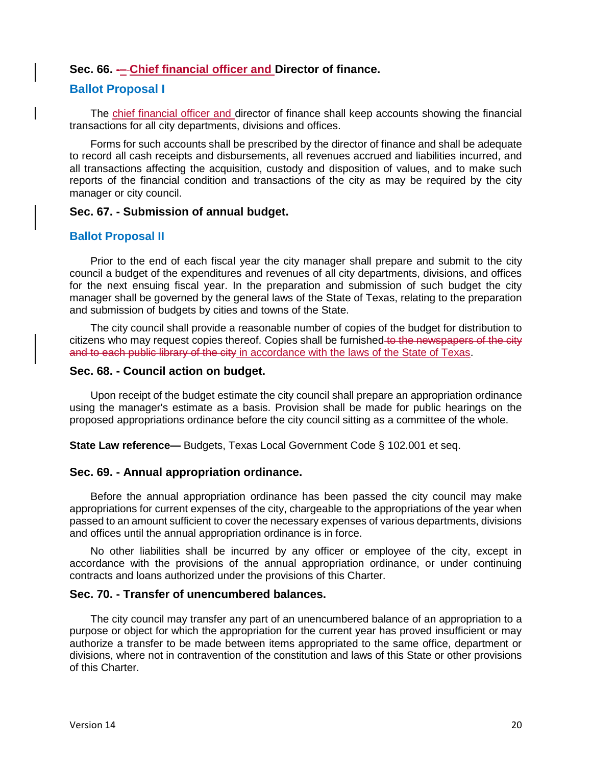## **Sec. 66. -– Chief financial officer and Director of finance.**

#### **Ballot Proposal I**

The chief financial officer and director of finance shall keep accounts showing the financial transactions for all city departments, divisions and offices.

Forms for such accounts shall be prescribed by the director of finance and shall be adequate to record all cash receipts and disbursements, all revenues accrued and liabilities incurred, and all transactions affecting the acquisition, custody and disposition of values, and to make such reports of the financial condition and transactions of the city as may be required by the city manager or city council.

#### **Sec. 67. - Submission of annual budget.**

#### **Ballot Proposal II**

Prior to the end of each fiscal year the city manager shall prepare and submit to the city council a budget of the expenditures and revenues of all city departments, divisions, and offices for the next ensuing fiscal year. In the preparation and submission of such budget the city manager shall be governed by the general laws of the State of Texas, relating to the preparation and submission of budgets by cities and towns of the State.

The city council shall provide a reasonable number of copies of the budget for distribution to citizens who may request copies thereof. Copies shall be furnished to the newspapers of the city and to each public library of the city in accordance with the laws of the State of Texas.

#### **Sec. 68. - Council action on budget.**

Upon receipt of the budget estimate the city council shall prepare an appropriation ordinance using the manager's estimate as a basis. Provision shall be made for public hearings on the proposed appropriations ordinance before the city council sitting as a committee of the whole.

**State Law reference—** Budgets, Texas Local Government Code § 102.001 et seq.

#### **Sec. 69. - Annual appropriation ordinance.**

Before the annual appropriation ordinance has been passed the city council may make appropriations for current expenses of the city, chargeable to the appropriations of the year when passed to an amount sufficient to cover the necessary expenses of various departments, divisions and offices until the annual appropriation ordinance is in force.

No other liabilities shall be incurred by any officer or employee of the city, except in accordance with the provisions of the annual appropriation ordinance, or under continuing contracts and loans authorized under the provisions of this Charter.

## **Sec. 70. - Transfer of unencumbered balances.**

The city council may transfer any part of an unencumbered balance of an appropriation to a purpose or object for which the appropriation for the current year has proved insufficient or may authorize a transfer to be made between items appropriated to the same office, department or divisions, where not in contravention of the constitution and laws of this State or other provisions of this Charter.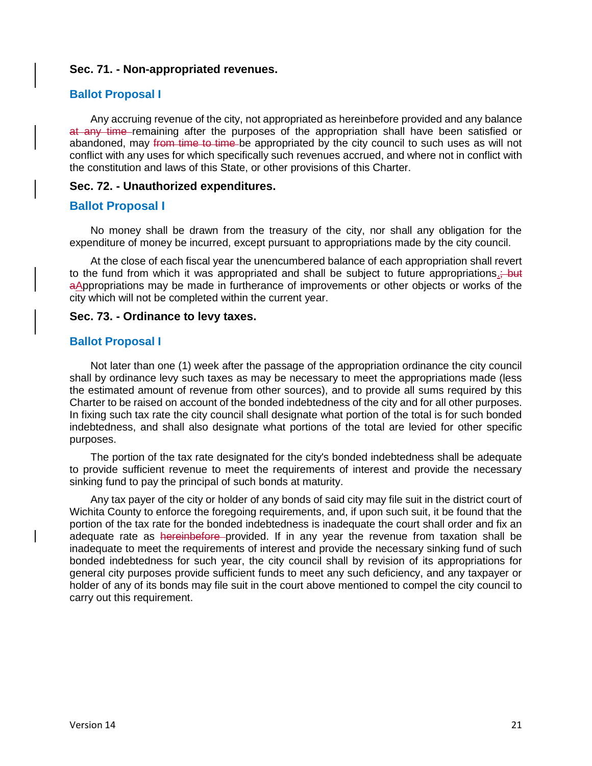#### **Sec. 71. - Non-appropriated revenues.**

#### **Ballot Proposal I**

Any accruing revenue of the city, not appropriated as hereinbefore provided and any balance at any time remaining after the purposes of the appropriation shall have been satisfied or abandoned, may from time to time be appropriated by the city council to such uses as will not conflict with any uses for which specifically such revenues accrued, and where not in conflict with the constitution and laws of this State, or other provisions of this Charter.

#### **Sec. 72. - Unauthorized expenditures.**

### **Ballot Proposal I**

No money shall be drawn from the treasury of the city, nor shall any obligation for the expenditure of money be incurred, except pursuant to appropriations made by the city council.

At the close of each fiscal year the unencumbered balance of each appropriation shall revert to the fund from which it was appropriated and shall be subject to future appropriations. aAppropriations may be made in furtherance of improvements or other objects or works of the city which will not be completed within the current year.

#### **Sec. 73. - Ordinance to levy taxes.**

### **Ballot Proposal I**

Not later than one (1) week after the passage of the appropriation ordinance the city council shall by ordinance levy such taxes as may be necessary to meet the appropriations made (less the estimated amount of revenue from other sources), and to provide all sums required by this Charter to be raised on account of the bonded indebtedness of the city and for all other purposes. In fixing such tax rate the city council shall designate what portion of the total is for such bonded indebtedness, and shall also designate what portions of the total are levied for other specific purposes.

The portion of the tax rate designated for the city's bonded indebtedness shall be adequate to provide sufficient revenue to meet the requirements of interest and provide the necessary sinking fund to pay the principal of such bonds at maturity.

Any tax payer of the city or holder of any bonds of said city may file suit in the district court of Wichita County to enforce the foregoing requirements, and, if upon such suit, it be found that the portion of the tax rate for the bonded indebtedness is inadequate the court shall order and fix an adequate rate as hereinbefore provided. If in any year the revenue from taxation shall be inadequate to meet the requirements of interest and provide the necessary sinking fund of such bonded indebtedness for such year, the city council shall by revision of its appropriations for general city purposes provide sufficient funds to meet any such deficiency, and any taxpayer or holder of any of its bonds may file suit in the court above mentioned to compel the city council to carry out this requirement.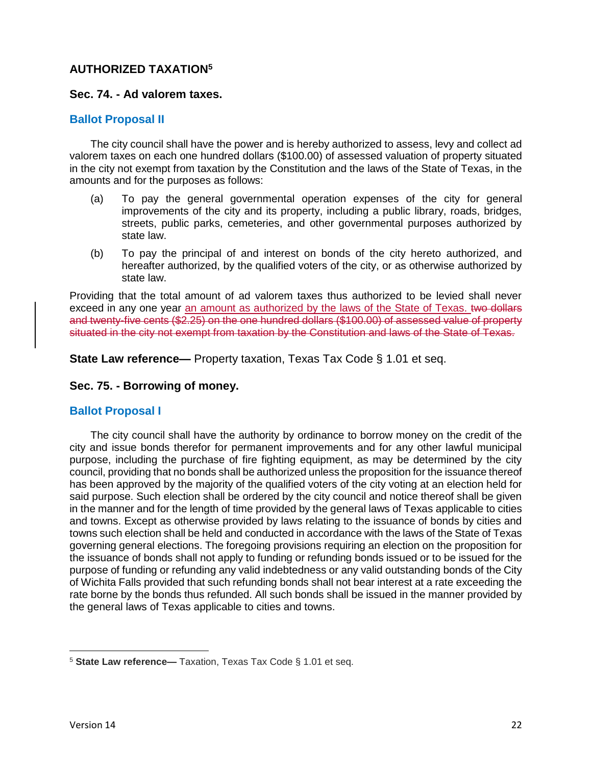# **AUTHORIZED TAXATION<sup>5</sup>**

## **Sec. 74. - Ad valorem taxes.**

## **Ballot Proposal II**

The city council shall have the power and is hereby authorized to assess, levy and collect ad valorem taxes on each one hundred dollars (\$100.00) of assessed valuation of property situated in the city not exempt from taxation by the Constitution and the laws of the State of Texas, in the amounts and for the purposes as follows:

- (a) To pay the general governmental operation expenses of the city for general improvements of the city and its property, including a public library, roads, bridges, streets, public parks, cemeteries, and other governmental purposes authorized by state law.
- (b) To pay the principal of and interest on bonds of the city hereto authorized, and hereafter authorized, by the qualified voters of the city, or as otherwise authorized by state law.

Providing that the total amount of ad valorem taxes thus authorized to be levied shall never exceed in any one year an amount as authorized by the laws of the State of Texas. two dollars and twenty-five cents (\$2.25) on the one hundred dollars (\$100.00) of assessed value of property situated in the city not exempt from taxation by the Constitution and laws of the State of Texas.

**State Law reference—** Property taxation, Texas Tax Code § 1.01 et seq.

## **Sec. 75. - Borrowing of money.**

## **Ballot Proposal I**

The city council shall have the authority by ordinance to borrow money on the credit of the city and issue bonds therefor for permanent improvements and for any other lawful municipal purpose, including the purchase of fire fighting equipment, as may be determined by the city council, providing that no bonds shall be authorized unless the proposition for the issuance thereof has been approved by the majority of the qualified voters of the city voting at an election held for said purpose. Such election shall be ordered by the city council and notice thereof shall be given in the manner and for the length of time provided by the general laws of Texas applicable to cities and towns. Except as otherwise provided by laws relating to the issuance of bonds by cities and towns such election shall be held and conducted in accordance with the laws of the State of Texas governing general elections. The foregoing provisions requiring an election on the proposition for the issuance of bonds shall not apply to funding or refunding bonds issued or to be issued for the purpose of funding or refunding any valid indebtedness or any valid outstanding bonds of the City of Wichita Falls provided that such refunding bonds shall not bear interest at a rate exceeding the rate borne by the bonds thus refunded. All such bonds shall be issued in the manner provided by the general laws of Texas applicable to cities and towns.

 $\overline{\phantom{a}}$ 

<sup>5</sup> **State Law reference—** Taxation, Texas Tax Code § 1.01 et seq.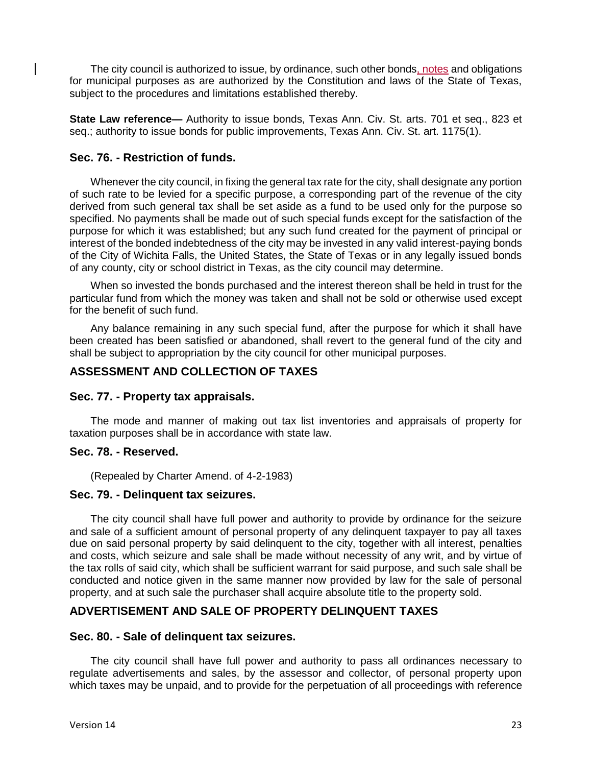The city council is authorized to issue, by ordinance, such other bonds, notes and obligations for municipal purposes as are authorized by the Constitution and laws of the State of Texas, subject to the procedures and limitations established thereby.

**State Law reference—** Authority to issue bonds, Texas Ann. Civ. St. arts. 701 et seq., 823 et seq.; authority to issue bonds for public improvements, Texas Ann. Civ. St. art. 1175(1).

## **Sec. 76. - Restriction of funds.**

Whenever the city council, in fixing the general tax rate for the city, shall designate any portion of such rate to be levied for a specific purpose, a corresponding part of the revenue of the city derived from such general tax shall be set aside as a fund to be used only for the purpose so specified. No payments shall be made out of such special funds except for the satisfaction of the purpose for which it was established; but any such fund created for the payment of principal or interest of the bonded indebtedness of the city may be invested in any valid interest-paying bonds of the City of Wichita Falls, the United States, the State of Texas or in any legally issued bonds of any county, city or school district in Texas, as the city council may determine.

When so invested the bonds purchased and the interest thereon shall be held in trust for the particular fund from which the money was taken and shall not be sold or otherwise used except for the benefit of such fund.

Any balance remaining in any such special fund, after the purpose for which it shall have been created has been satisfied or abandoned, shall revert to the general fund of the city and shall be subject to appropriation by the city council for other municipal purposes.

## **ASSESSMENT AND COLLECTION OF TAXES**

#### **Sec. 77. - Property tax appraisals.**

The mode and manner of making out tax list inventories and appraisals of property for taxation purposes shall be in accordance with state law.

#### **Sec. 78. - Reserved.**

(Repealed by Charter Amend. of 4-2-1983)

#### **Sec. 79. - Delinquent tax seizures.**

The city council shall have full power and authority to provide by ordinance for the seizure and sale of a sufficient amount of personal property of any delinquent taxpayer to pay all taxes due on said personal property by said delinquent to the city, together with all interest, penalties and costs, which seizure and sale shall be made without necessity of any writ, and by virtue of the tax rolls of said city, which shall be sufficient warrant for said purpose, and such sale shall be conducted and notice given in the same manner now provided by law for the sale of personal property, and at such sale the purchaser shall acquire absolute title to the property sold.

## **ADVERTISEMENT AND SALE OF PROPERTY DELINQUENT TAXES**

#### **Sec. 80. - Sale of delinquent tax seizures.**

The city council shall have full power and authority to pass all ordinances necessary to regulate advertisements and sales, by the assessor and collector, of personal property upon which taxes may be unpaid, and to provide for the perpetuation of all proceedings with reference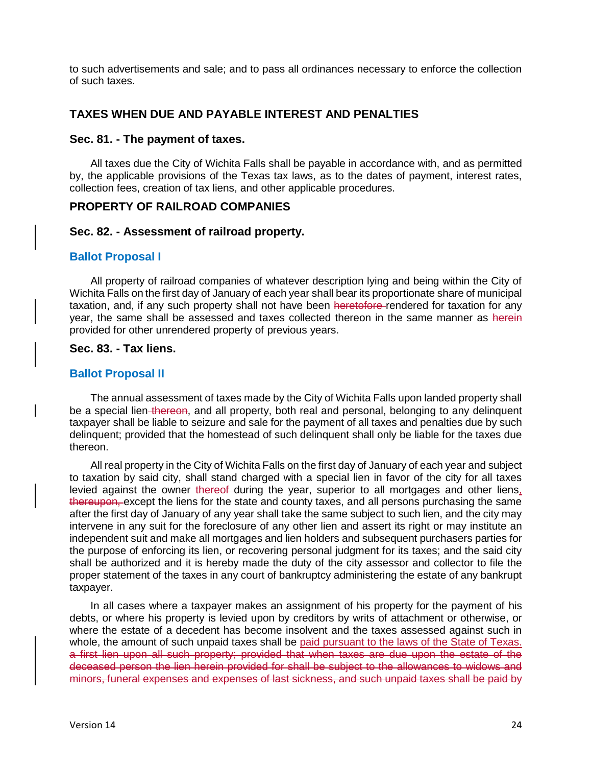to such advertisements and sale; and to pass all ordinances necessary to enforce the collection of such taxes.

## **TAXES WHEN DUE AND PAYABLE INTEREST AND PENALTIES**

#### **Sec. 81. - The payment of taxes.**

All taxes due the City of Wichita Falls shall be payable in accordance with, and as permitted by, the applicable provisions of the Texas tax laws, as to the dates of payment, interest rates, collection fees, creation of tax liens, and other applicable procedures.

## **PROPERTY OF RAILROAD COMPANIES**

### **Sec. 82. - Assessment of railroad property.**

### **Ballot Proposal I**

All property of railroad companies of whatever description lying and being within the City of Wichita Falls on the first day of January of each year shall bear its proportionate share of municipal taxation, and, if any such property shall not have been heretofore rendered for taxation for any year, the same shall be assessed and taxes collected thereon in the same manner as herein provided for other unrendered property of previous years.

### **Sec. 83. - Tax liens.**

## **Ballot Proposal II**

The annual assessment of taxes made by the City of Wichita Falls upon landed property shall be a special lien thereon, and all property, both real and personal, belonging to any delinguent taxpayer shall be liable to seizure and sale for the payment of all taxes and penalties due by such delinquent; provided that the homestead of such delinquent shall only be liable for the taxes due thereon.

All real property in the City of Wichita Falls on the first day of January of each year and subject to taxation by said city, shall stand charged with a special lien in favor of the city for all taxes levied against the owner thereof-during the year, superior to all mortgages and other liens, thereupon, except the liens for the state and county taxes, and all persons purchasing the same after the first day of January of any year shall take the same subject to such lien, and the city may intervene in any suit for the foreclosure of any other lien and assert its right or may institute an independent suit and make all mortgages and lien holders and subsequent purchasers parties for the purpose of enforcing its lien, or recovering personal judgment for its taxes; and the said city shall be authorized and it is hereby made the duty of the city assessor and collector to file the proper statement of the taxes in any court of bankruptcy administering the estate of any bankrupt taxpayer.

In all cases where a taxpayer makes an assignment of his property for the payment of his debts, or where his property is levied upon by creditors by writs of attachment or otherwise, or where the estate of a decedent has become insolvent and the taxes assessed against such in whole, the amount of such unpaid taxes shall be paid pursuant to the laws of the State of Texas. a first lien upon all such property; provided that when taxes are due upon the estate of the deceased person the lien herein provided for shall be subject to the allowances to widows and minors, funeral expenses and expenses of last sickness, and such unpaid taxes shall be paid by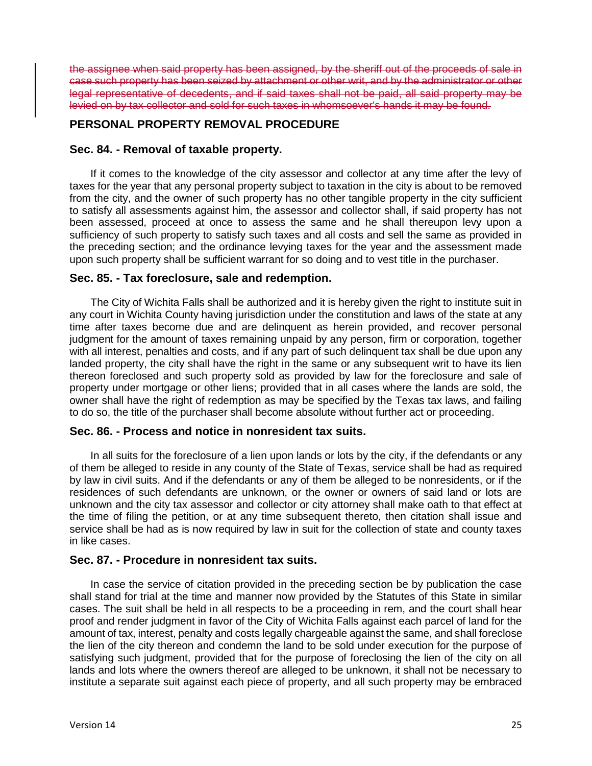the assignee when said property has been assigned, by the sheriff out of the proceeds of sale in case such property has been seized by attachment or other writ, and by the administrator or other legal representative of decedents, and if said taxes shall not be paid, all said property may be levied on by tax collector and sold for such taxes in whomsoever's hands it may be found.

## **PERSONAL PROPERTY REMOVAL PROCEDURE**

## **Sec. 84. - Removal of taxable property.**

If it comes to the knowledge of the city assessor and collector at any time after the levy of taxes for the year that any personal property subject to taxation in the city is about to be removed from the city, and the owner of such property has no other tangible property in the city sufficient to satisfy all assessments against him, the assessor and collector shall, if said property has not been assessed, proceed at once to assess the same and he shall thereupon levy upon a sufficiency of such property to satisfy such taxes and all costs and sell the same as provided in the preceding section; and the ordinance levying taxes for the year and the assessment made upon such property shall be sufficient warrant for so doing and to vest title in the purchaser.

## **Sec. 85. - Tax foreclosure, sale and redemption.**

The City of Wichita Falls shall be authorized and it is hereby given the right to institute suit in any court in Wichita County having jurisdiction under the constitution and laws of the state at any time after taxes become due and are delinquent as herein provided, and recover personal judgment for the amount of taxes remaining unpaid by any person, firm or corporation, together with all interest, penalties and costs, and if any part of such delinquent tax shall be due upon any landed property, the city shall have the right in the same or any subsequent writ to have its lien thereon foreclosed and such property sold as provided by law for the foreclosure and sale of property under mortgage or other liens; provided that in all cases where the lands are sold, the owner shall have the right of redemption as may be specified by the Texas tax laws, and failing to do so, the title of the purchaser shall become absolute without further act or proceeding.

## **Sec. 86. - Process and notice in nonresident tax suits.**

In all suits for the foreclosure of a lien upon lands or lots by the city, if the defendants or any of them be alleged to reside in any county of the State of Texas, service shall be had as required by law in civil suits. And if the defendants or any of them be alleged to be nonresidents, or if the residences of such defendants are unknown, or the owner or owners of said land or lots are unknown and the city tax assessor and collector or city attorney shall make oath to that effect at the time of filing the petition, or at any time subsequent thereto, then citation shall issue and service shall be had as is now required by law in suit for the collection of state and county taxes in like cases.

## **Sec. 87. - Procedure in nonresident tax suits.**

In case the service of citation provided in the preceding section be by publication the case shall stand for trial at the time and manner now provided by the Statutes of this State in similar cases. The suit shall be held in all respects to be a proceeding in rem, and the court shall hear proof and render judgment in favor of the City of Wichita Falls against each parcel of land for the amount of tax, interest, penalty and costs legally chargeable against the same, and shall foreclose the lien of the city thereon and condemn the land to be sold under execution for the purpose of satisfying such judgment, provided that for the purpose of foreclosing the lien of the city on all lands and lots where the owners thereof are alleged to be unknown, it shall not be necessary to institute a separate suit against each piece of property, and all such property may be embraced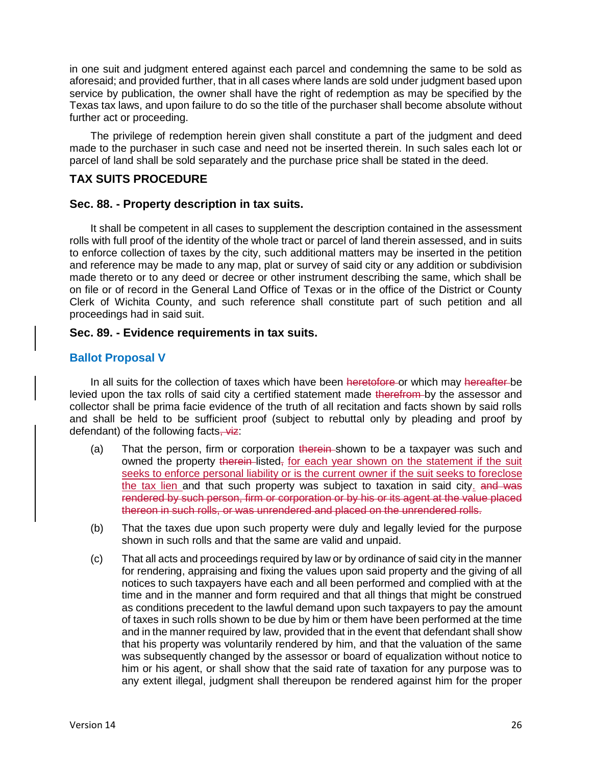in one suit and judgment entered against each parcel and condemning the same to be sold as aforesaid; and provided further, that in all cases where lands are sold under judgment based upon service by publication, the owner shall have the right of redemption as may be specified by the Texas tax laws, and upon failure to do so the title of the purchaser shall become absolute without further act or proceeding.

The privilege of redemption herein given shall constitute a part of the judgment and deed made to the purchaser in such case and need not be inserted therein. In such sales each lot or parcel of land shall be sold separately and the purchase price shall be stated in the deed.

## **TAX SUITS PROCEDURE**

## **Sec. 88. - Property description in tax suits.**

It shall be competent in all cases to supplement the description contained in the assessment rolls with full proof of the identity of the whole tract or parcel of land therein assessed, and in suits to enforce collection of taxes by the city, such additional matters may be inserted in the petition and reference may be made to any map, plat or survey of said city or any addition or subdivision made thereto or to any deed or decree or other instrument describing the same, which shall be on file or of record in the General Land Office of Texas or in the office of the District or County Clerk of Wichita County, and such reference shall constitute part of such petition and all proceedings had in said suit.

## **Sec. 89. - Evidence requirements in tax suits.**

## **Ballot Proposal V**

In all suits for the collection of taxes which have been heretofore or which may hereafter be levied upon the tax rolls of said city a certified statement made therefrom by the assessor and collector shall be prima facie evidence of the truth of all recitation and facts shown by said rolls and shall be held to be sufficient proof (subject to rebuttal only by pleading and proof by defendant) of the following facts, viz:

- (a) That the person, firm or corporation therein-shown to be a taxpayer was such and owned the property therein-listed, for each year shown on the statement if the suit seeks to enforce personal liability or is the current owner if the suit seeks to foreclose the tax lien and that such property was subject to taxation in said city. and was rendered by such person, firm or corporation or by his or its agent at the value placed thereon in such rolls, or was unrendered and placed on the unrendered rolls.
- (b) That the taxes due upon such property were duly and legally levied for the purpose shown in such rolls and that the same are valid and unpaid.
- (c) That all acts and proceedings required by law or by ordinance of said city in the manner for rendering, appraising and fixing the values upon said property and the giving of all notices to such taxpayers have each and all been performed and complied with at the time and in the manner and form required and that all things that might be construed as conditions precedent to the lawful demand upon such taxpayers to pay the amount of taxes in such rolls shown to be due by him or them have been performed at the time and in the manner required by law, provided that in the event that defendant shall show that his property was voluntarily rendered by him, and that the valuation of the same was subsequently changed by the assessor or board of equalization without notice to him or his agent, or shall show that the said rate of taxation for any purpose was to any extent illegal, judgment shall thereupon be rendered against him for the proper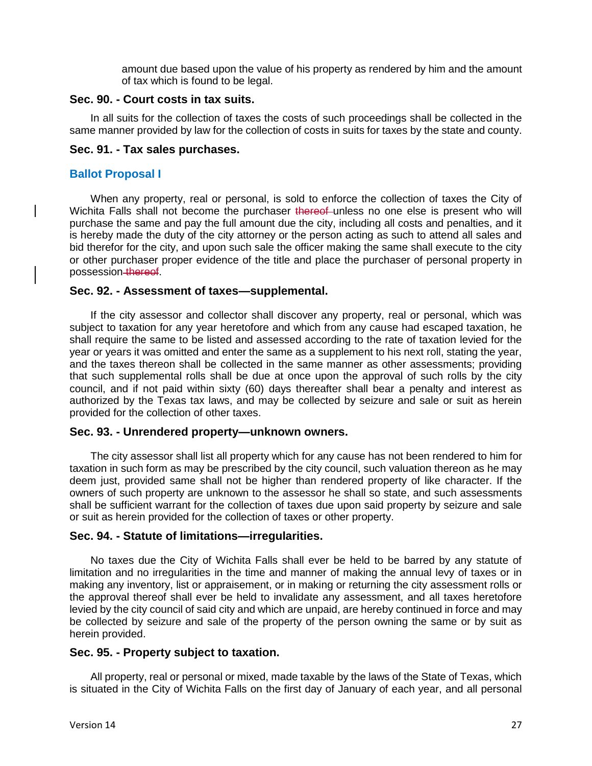amount due based upon the value of his property as rendered by him and the amount of tax which is found to be legal.

#### **Sec. 90. - Court costs in tax suits.**

In all suits for the collection of taxes the costs of such proceedings shall be collected in the same manner provided by law for the collection of costs in suits for taxes by the state and county.

## **Sec. 91. - Tax sales purchases.**

## **Ballot Proposal I**

When any property, real or personal, is sold to enforce the collection of taxes the City of Wichita Falls shall not become the purchaser thereof unless no one else is present who will purchase the same and pay the full amount due the city, including all costs and penalties, and it is hereby made the duty of the city attorney or the person acting as such to attend all sales and bid therefor for the city, and upon such sale the officer making the same shall execute to the city or other purchaser proper evidence of the title and place the purchaser of personal property in possession thereof.

### **Sec. 92. - Assessment of taxes—supplemental.**

If the city assessor and collector shall discover any property, real or personal, which was subject to taxation for any year heretofore and which from any cause had escaped taxation, he shall require the same to be listed and assessed according to the rate of taxation levied for the year or years it was omitted and enter the same as a supplement to his next roll, stating the year, and the taxes thereon shall be collected in the same manner as other assessments; providing that such supplemental rolls shall be due at once upon the approval of such rolls by the city council, and if not paid within sixty (60) days thereafter shall bear a penalty and interest as authorized by the Texas tax laws, and may be collected by seizure and sale or suit as herein provided for the collection of other taxes.

#### **Sec. 93. - Unrendered property—unknown owners.**

The city assessor shall list all property which for any cause has not been rendered to him for taxation in such form as may be prescribed by the city council, such valuation thereon as he may deem just, provided same shall not be higher than rendered property of like character. If the owners of such property are unknown to the assessor he shall so state, and such assessments shall be sufficient warrant for the collection of taxes due upon said property by seizure and sale or suit as herein provided for the collection of taxes or other property.

## **Sec. 94. - Statute of limitations—irregularities.**

No taxes due the City of Wichita Falls shall ever be held to be barred by any statute of limitation and no irregularities in the time and manner of making the annual levy of taxes or in making any inventory, list or appraisement, or in making or returning the city assessment rolls or the approval thereof shall ever be held to invalidate any assessment, and all taxes heretofore levied by the city council of said city and which are unpaid, are hereby continued in force and may be collected by seizure and sale of the property of the person owning the same or by suit as herein provided.

## **Sec. 95. - Property subject to taxation.**

All property, real or personal or mixed, made taxable by the laws of the State of Texas, which is situated in the City of Wichita Falls on the first day of January of each year, and all personal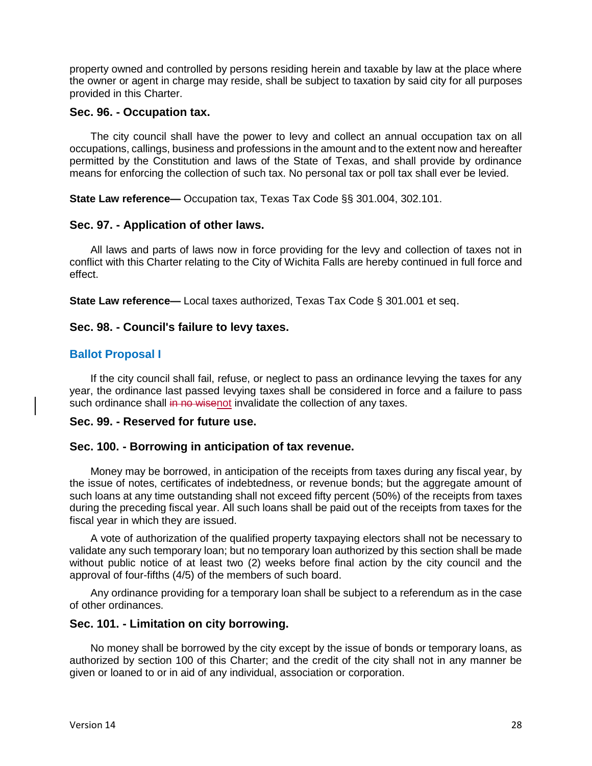property owned and controlled by persons residing herein and taxable by law at the place where the owner or agent in charge may reside, shall be subject to taxation by said city for all purposes provided in this Charter.

### **Sec. 96. - Occupation tax.**

The city council shall have the power to levy and collect an annual occupation tax on all occupations, callings, business and professions in the amount and to the extent now and hereafter permitted by the Constitution and laws of the State of Texas, and shall provide by ordinance means for enforcing the collection of such tax. No personal tax or poll tax shall ever be levied.

**State Law reference—** Occupation tax, Texas Tax Code §§ 301.004, 302.101.

## **Sec. 97. - Application of other laws.**

All laws and parts of laws now in force providing for the levy and collection of taxes not in conflict with this Charter relating to the City of Wichita Falls are hereby continued in full force and effect.

**State Law reference—** Local taxes authorized, Texas Tax Code § 301.001 et seq.

## **Sec. 98. - Council's failure to levy taxes.**

## **Ballot Proposal I**

If the city council shall fail, refuse, or neglect to pass an ordinance levying the taxes for any year, the ordinance last passed levying taxes shall be considered in force and a failure to pass such ordinance shall in no wisenot invalidate the collection of any taxes.

## **Sec. 99. - Reserved for future use.**

## **Sec. 100. - Borrowing in anticipation of tax revenue.**

Money may be borrowed, in anticipation of the receipts from taxes during any fiscal year, by the issue of notes, certificates of indebtedness, or revenue bonds; but the aggregate amount of such loans at any time outstanding shall not exceed fifty percent (50%) of the receipts from taxes during the preceding fiscal year. All such loans shall be paid out of the receipts from taxes for the fiscal year in which they are issued.

A vote of authorization of the qualified property taxpaying electors shall not be necessary to validate any such temporary loan; but no temporary loan authorized by this section shall be made without public notice of at least two (2) weeks before final action by the city council and the approval of four-fifths (4/5) of the members of such board.

Any ordinance providing for a temporary loan shall be subject to a referendum as in the case of other ordinances.

#### **Sec. 101. - Limitation on city borrowing.**

No money shall be borrowed by the city except by the issue of bonds or temporary loans, as authorized by section 100 of this Charter; and the credit of the city shall not in any manner be given or loaned to or in aid of any individual, association or corporation.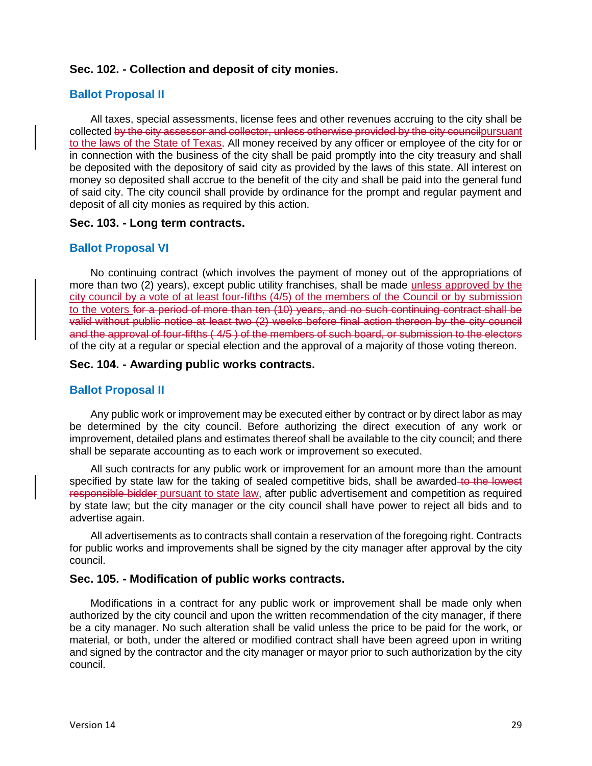## **Sec. 102. - Collection and deposit of city monies.**

## **Ballot Proposal II**

All taxes, special assessments, license fees and other revenues accruing to the city shall be collected by the city assessor and collector, unless otherwise provided by the city councilpursuant to the laws of the State of Texas. All money received by any officer or employee of the city for or in connection with the business of the city shall be paid promptly into the city treasury and shall be deposited with the depository of said city as provided by the laws of this state. All interest on money so deposited shall accrue to the benefit of the city and shall be paid into the general fund of said city. The city council shall provide by ordinance for the prompt and regular payment and deposit of all city monies as required by this action.

#### **Sec. 103. - Long term contracts.**

#### **Ballot Proposal VI**

No continuing contract (which involves the payment of money out of the appropriations of more than two (2) years), except public utility franchises, shall be made unless approved by the city council by a vote of at least four-fifths (4/5) of the members of the Council or by submission to the voters for a period of more than ten (10) years, and no such continuing contract shall be valid without public notice at least two (2) weeks before final action thereon by the city council and the approval of four-fifths ( 4/5 ) of the members of such board, or submission to the electors of the city at a regular or special election and the approval of a majority of those voting thereon.

#### **Sec. 104. - Awarding public works contracts.**

#### **Ballot Proposal II**

Any public work or improvement may be executed either by contract or by direct labor as may be determined by the city council. Before authorizing the direct execution of any work or improvement, detailed plans and estimates thereof shall be available to the city council; and there shall be separate accounting as to each work or improvement so executed.

All such contracts for any public work or improvement for an amount more than the amount specified by state law for the taking of sealed competitive bids, shall be awarded to the lowest responsible bidder pursuant to state law, after public advertisement and competition as required by state law; but the city manager or the city council shall have power to reject all bids and to advertise again.

All advertisements as to contracts shall contain a reservation of the foregoing right. Contracts for public works and improvements shall be signed by the city manager after approval by the city council.

#### **Sec. 105. - Modification of public works contracts.**

Modifications in a contract for any public work or improvement shall be made only when authorized by the city council and upon the written recommendation of the city manager, if there be a city manager. No such alteration shall be valid unless the price to be paid for the work, or material, or both, under the altered or modified contract shall have been agreed upon in writing and signed by the contractor and the city manager or mayor prior to such authorization by the city council.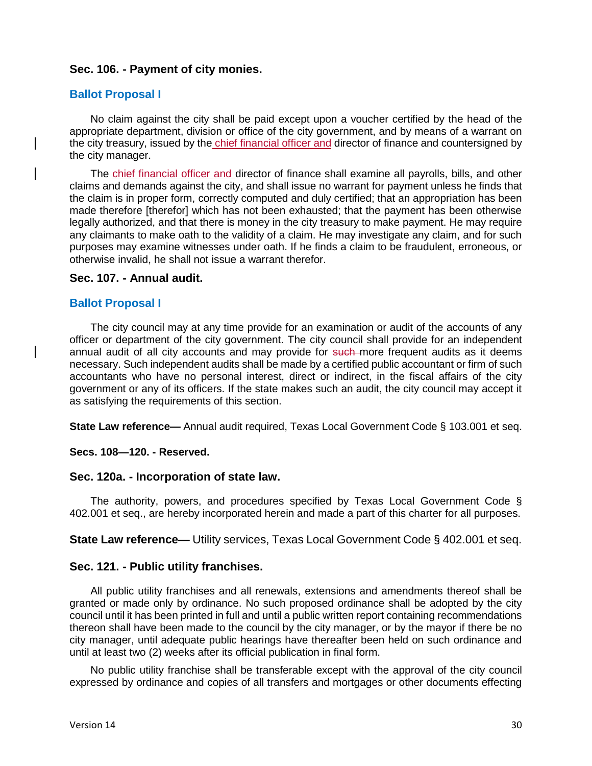## **Sec. 106. - Payment of city monies.**

#### **Ballot Proposal I**

No claim against the city shall be paid except upon a voucher certified by the head of the appropriate department, division or office of the city government, and by means of a warrant on the city treasury, issued by the chief financial officer and director of finance and countersigned by the city manager.

The chief financial officer and director of finance shall examine all payrolls, bills, and other claims and demands against the city, and shall issue no warrant for payment unless he finds that the claim is in proper form, correctly computed and duly certified; that an appropriation has been made therefore [therefor] which has not been exhausted; that the payment has been otherwise legally authorized, and that there is money in the city treasury to make payment. He may require any claimants to make oath to the validity of a claim. He may investigate any claim, and for such purposes may examine witnesses under oath. If he finds a claim to be fraudulent, erroneous, or otherwise invalid, he shall not issue a warrant therefor.

#### **Sec. 107. - Annual audit.**

### **Ballot Proposal I**

The city council may at any time provide for an examination or audit of the accounts of any officer or department of the city government. The city council shall provide for an independent annual audit of all city accounts and may provide for such more frequent audits as it deems necessary. Such independent audits shall be made by a certified public accountant or firm of such accountants who have no personal interest, direct or indirect, in the fiscal affairs of the city government or any of its officers. If the state makes such an audit, the city council may accept it as satisfying the requirements of this section.

**State Law reference—** Annual audit required, Texas Local Government Code § 103.001 et seq.

#### **Secs. 108—120. - Reserved.**

#### **Sec. 120a. - Incorporation of state law.**

The authority, powers, and procedures specified by Texas Local Government Code § 402.001 et seq., are hereby incorporated herein and made a part of this charter for all purposes.

**State Law reference—** Utility services, Texas Local Government Code § 402.001 et seq.

#### **Sec. 121. - Public utility franchises.**

All public utility franchises and all renewals, extensions and amendments thereof shall be granted or made only by ordinance. No such proposed ordinance shall be adopted by the city council until it has been printed in full and until a public written report containing recommendations thereon shall have been made to the council by the city manager, or by the mayor if there be no city manager, until adequate public hearings have thereafter been held on such ordinance and until at least two (2) weeks after its official publication in final form.

No public utility franchise shall be transferable except with the approval of the city council expressed by ordinance and copies of all transfers and mortgages or other documents effecting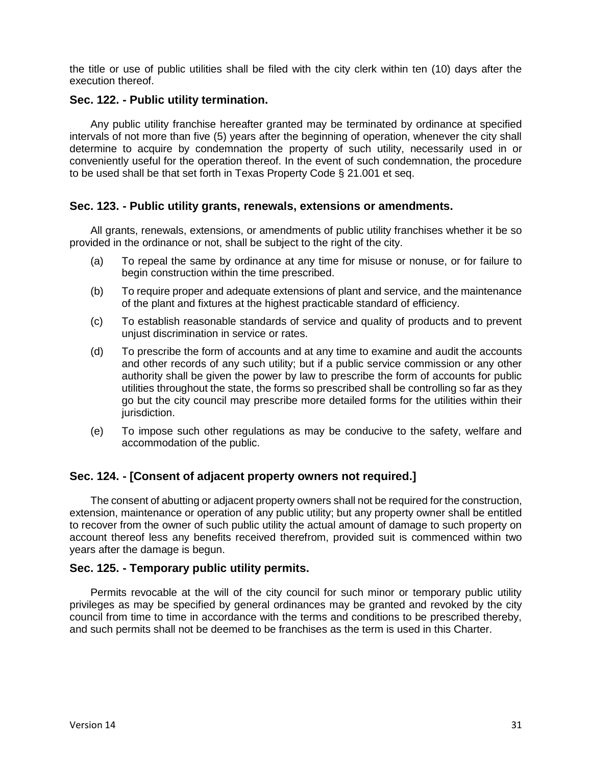the title or use of public utilities shall be filed with the city clerk within ten (10) days after the execution thereof.

## **Sec. 122. - Public utility termination.**

Any public utility franchise hereafter granted may be terminated by ordinance at specified intervals of not more than five (5) years after the beginning of operation, whenever the city shall determine to acquire by condemnation the property of such utility, necessarily used in or conveniently useful for the operation thereof. In the event of such condemnation, the procedure to be used shall be that set forth in Texas Property Code § 21.001 et seq.

## **Sec. 123. - Public utility grants, renewals, extensions or amendments.**

All grants, renewals, extensions, or amendments of public utility franchises whether it be so provided in the ordinance or not, shall be subject to the right of the city.

- (a) To repeal the same by ordinance at any time for misuse or nonuse, or for failure to begin construction within the time prescribed.
- (b) To require proper and adequate extensions of plant and service, and the maintenance of the plant and fixtures at the highest practicable standard of efficiency.
- (c) To establish reasonable standards of service and quality of products and to prevent unjust discrimination in service or rates.
- (d) To prescribe the form of accounts and at any time to examine and audit the accounts and other records of any such utility; but if a public service commission or any other authority shall be given the power by law to prescribe the form of accounts for public utilities throughout the state, the forms so prescribed shall be controlling so far as they go but the city council may prescribe more detailed forms for the utilities within their jurisdiction.
- (e) To impose such other regulations as may be conducive to the safety, welfare and accommodation of the public.

## **Sec. 124. - [Consent of adjacent property owners not required.]**

The consent of abutting or adjacent property owners shall not be required for the construction, extension, maintenance or operation of any public utility; but any property owner shall be entitled to recover from the owner of such public utility the actual amount of damage to such property on account thereof less any benefits received therefrom, provided suit is commenced within two years after the damage is begun.

## **Sec. 125. - Temporary public utility permits.**

Permits revocable at the will of the city council for such minor or temporary public utility privileges as may be specified by general ordinances may be granted and revoked by the city council from time to time in accordance with the terms and conditions to be prescribed thereby, and such permits shall not be deemed to be franchises as the term is used in this Charter.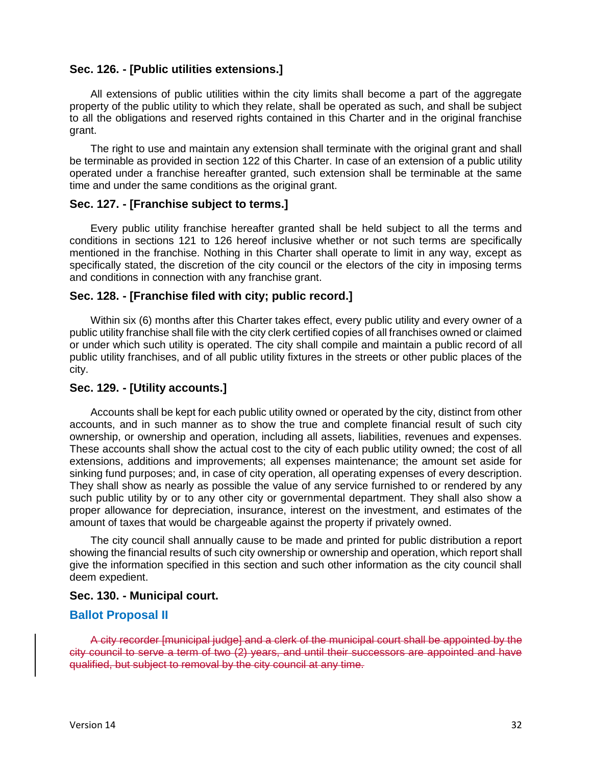### **Sec. 126. - [Public utilities extensions.]**

All extensions of public utilities within the city limits shall become a part of the aggregate property of the public utility to which they relate, shall be operated as such, and shall be subject to all the obligations and reserved rights contained in this Charter and in the original franchise grant.

The right to use and maintain any extension shall terminate with the original grant and shall be terminable as provided in section 122 of this Charter. In case of an extension of a public utility operated under a franchise hereafter granted, such extension shall be terminable at the same time and under the same conditions as the original grant.

#### **Sec. 127. - [Franchise subject to terms.]**

Every public utility franchise hereafter granted shall be held subject to all the terms and conditions in sections 121 to 126 hereof inclusive whether or not such terms are specifically mentioned in the franchise. Nothing in this Charter shall operate to limit in any way, except as specifically stated, the discretion of the city council or the electors of the city in imposing terms and conditions in connection with any franchise grant.

#### **Sec. 128. - [Franchise filed with city; public record.]**

Within six (6) months after this Charter takes effect, every public utility and every owner of a public utility franchise shall file with the city clerk certified copies of all franchises owned or claimed or under which such utility is operated. The city shall compile and maintain a public record of all public utility franchises, and of all public utility fixtures in the streets or other public places of the city.

## **Sec. 129. - [Utility accounts.]**

Accounts shall be kept for each public utility owned or operated by the city, distinct from other accounts, and in such manner as to show the true and complete financial result of such city ownership, or ownership and operation, including all assets, liabilities, revenues and expenses. These accounts shall show the actual cost to the city of each public utility owned; the cost of all extensions, additions and improvements; all expenses maintenance; the amount set aside for sinking fund purposes; and, in case of city operation, all operating expenses of every description. They shall show as nearly as possible the value of any service furnished to or rendered by any such public utility by or to any other city or governmental department. They shall also show a proper allowance for depreciation, insurance, interest on the investment, and estimates of the amount of taxes that would be chargeable against the property if privately owned.

The city council shall annually cause to be made and printed for public distribution a report showing the financial results of such city ownership or ownership and operation, which report shall give the information specified in this section and such other information as the city council shall deem expedient.

#### **Sec. 130. - Municipal court.**

#### **Ballot Proposal II**

A city recorder [municipal judge] and a clerk of the municipal court shall be appointed by the city council to serve a term of two (2) years, and until their successors are appointed and have qualified, but subject to removal by the city council at any time.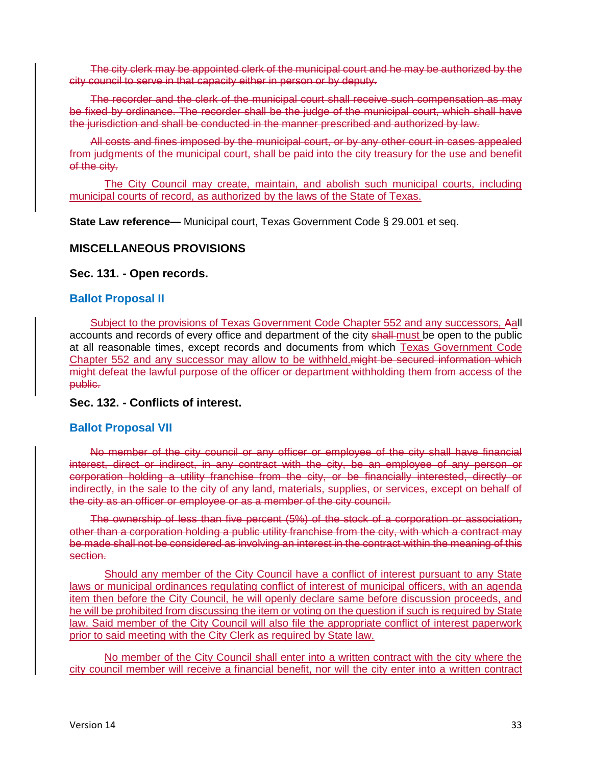The city clerk may be appointed clerk of the municipal court and he may be authorized by the city council to serve in that capacity either in person or by deputy.

The recorder and the clerk of the municipal court shall receive such compensation as may be fixed by ordinance. The recorder shall be the judge of the municipal court, which shall have the jurisdiction and shall be conducted in the manner prescribed and authorized by law.

All costs and fines imposed by the municipal court, or by any other court in cases appealed from judgments of the municipal court, shall be paid into the city treasury for the use and benefit of the city.

The City Council may create, maintain, and abolish such municipal courts, including municipal courts of record, as authorized by the laws of the State of Texas.

**State Law reference—** Municipal court, Texas Government Code § 29.001 et seq.

## **MISCELLANEOUS PROVISIONS**

#### **Sec. 131. - Open records.**

## **Ballot Proposal II**

Subject to the provisions of Texas Government Code Chapter 552 and any successors, Aall accounts and records of every office and department of the city shall must be open to the public at all reasonable times, except records and documents from which Texas Government Code Chapter 552 and any successor may allow to be withheld.might be secured information which might defeat the lawful purpose of the officer or department withholding them from access of the public.

**Sec. 132. - Conflicts of interest.** 

## **Ballot Proposal VII**

No member of the city council or any officer or employee of the city shall have financial interest, direct or indirect, in any contract with the city, be an employee of any person or corporation holding a utility franchise from the city, or be financially interested, directly or indirectly, in the sale to the city of any land, materials, supplies, or services, except on behalf of the city as an officer or employee or as a member of the city council.

The ownership of less than five percent (5%) of the stock of a corporation or association, other than a corporation holding a public utility franchise from the city, with which a contract may be made shall not be considered as involving an interest in the contract within the meaning of this section.

Should any member of the City Council have a conflict of interest pursuant to any State laws or municipal ordinances regulating conflict of interest of municipal officers, with an agenda item then before the City Council, he will openly declare same before discussion proceeds, and he will be prohibited from discussing the item or voting on the question if such is required by State law. Said member of the City Council will also file the appropriate conflict of interest paperwork prior to said meeting with the City Clerk as required by State law.

No member of the City Council shall enter into a written contract with the city where the city council member will receive a financial benefit, nor will the city enter into a written contract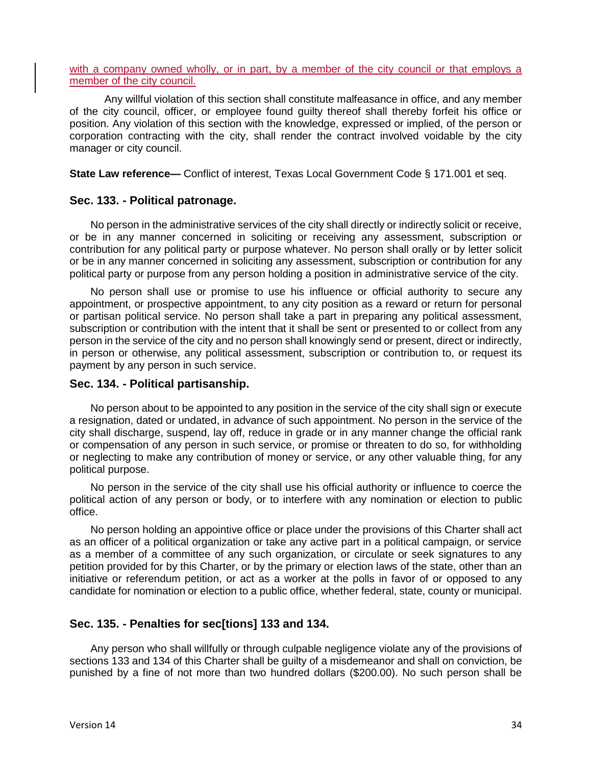with a company owned wholly, or in part, by a member of the city council or that employs a member of the city council.

Any willful violation of this section shall constitute malfeasance in office, and any member of the city council, officer, or employee found guilty thereof shall thereby forfeit his office or position. Any violation of this section with the knowledge, expressed or implied, of the person or corporation contracting with the city, shall render the contract involved voidable by the city manager or city council.

**State Law reference—** Conflict of interest, Texas Local Government Code § 171.001 et seq.

### **Sec. 133. - Political patronage.**

No person in the administrative services of the city shall directly or indirectly solicit or receive, or be in any manner concerned in soliciting or receiving any assessment, subscription or contribution for any political party or purpose whatever. No person shall orally or by letter solicit or be in any manner concerned in soliciting any assessment, subscription or contribution for any political party or purpose from any person holding a position in administrative service of the city.

No person shall use or promise to use his influence or official authority to secure any appointment, or prospective appointment, to any city position as a reward or return for personal or partisan political service. No person shall take a part in preparing any political assessment, subscription or contribution with the intent that it shall be sent or presented to or collect from any person in the service of the city and no person shall knowingly send or present, direct or indirectly, in person or otherwise, any political assessment, subscription or contribution to, or request its payment by any person in such service.

#### **Sec. 134. - Political partisanship.**

No person about to be appointed to any position in the service of the city shall sign or execute a resignation, dated or undated, in advance of such appointment. No person in the service of the city shall discharge, suspend, lay off, reduce in grade or in any manner change the official rank or compensation of any person in such service, or promise or threaten to do so, for withholding or neglecting to make any contribution of money or service, or any other valuable thing, for any political purpose.

No person in the service of the city shall use his official authority or influence to coerce the political action of any person or body, or to interfere with any nomination or election to public office.

No person holding an appointive office or place under the provisions of this Charter shall act as an officer of a political organization or take any active part in a political campaign, or service as a member of a committee of any such organization, or circulate or seek signatures to any petition provided for by this Charter, or by the primary or election laws of the state, other than an initiative or referendum petition, or act as a worker at the polls in favor of or opposed to any candidate for nomination or election to a public office, whether federal, state, county or municipal.

## **Sec. 135. - Penalties for sec[tions] 133 and 134.**

Any person who shall willfully or through culpable negligence violate any of the provisions of sections 133 and 134 of this Charter shall be guilty of a misdemeanor and shall on conviction, be punished by a fine of not more than two hundred dollars (\$200.00). No such person shall be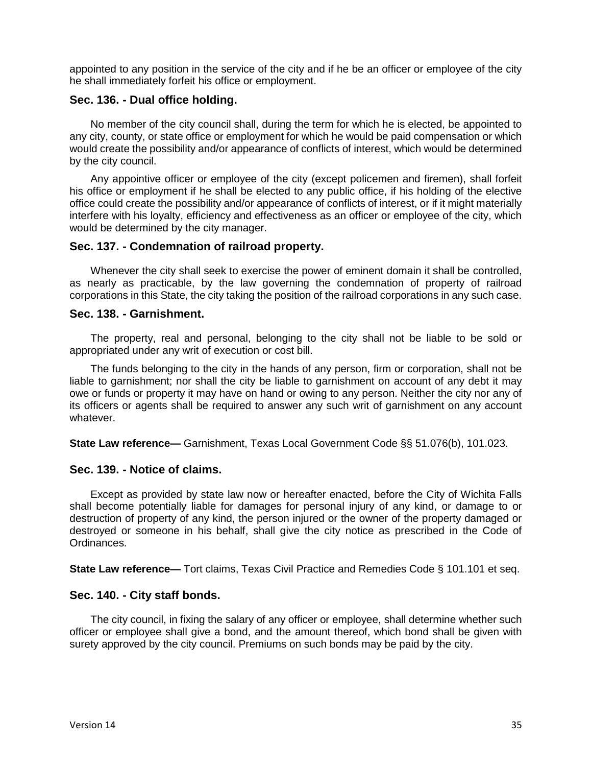appointed to any position in the service of the city and if he be an officer or employee of the city he shall immediately forfeit his office or employment.

## **Sec. 136. - Dual office holding.**

No member of the city council shall, during the term for which he is elected, be appointed to any city, county, or state office or employment for which he would be paid compensation or which would create the possibility and/or appearance of conflicts of interest, which would be determined by the city council.

Any appointive officer or employee of the city (except policemen and firemen), shall forfeit his office or employment if he shall be elected to any public office, if his holding of the elective office could create the possibility and/or appearance of conflicts of interest, or if it might materially interfere with his loyalty, efficiency and effectiveness as an officer or employee of the city, which would be determined by the city manager.

### **Sec. 137. - Condemnation of railroad property.**

Whenever the city shall seek to exercise the power of eminent domain it shall be controlled, as nearly as practicable, by the law governing the condemnation of property of railroad corporations in this State, the city taking the position of the railroad corporations in any such case.

### **Sec. 138. - Garnishment.**

The property, real and personal, belonging to the city shall not be liable to be sold or appropriated under any writ of execution or cost bill.

The funds belonging to the city in the hands of any person, firm or corporation, shall not be liable to garnishment; nor shall the city be liable to garnishment on account of any debt it may owe or funds or property it may have on hand or owing to any person. Neither the city nor any of its officers or agents shall be required to answer any such writ of garnishment on any account whatever.

**State Law reference—** Garnishment, Texas Local Government Code §§ 51.076(b), 101.023.

#### **Sec. 139. - Notice of claims.**

Except as provided by state law now or hereafter enacted, before the City of Wichita Falls shall become potentially liable for damages for personal injury of any kind, or damage to or destruction of property of any kind, the person injured or the owner of the property damaged or destroyed or someone in his behalf, shall give the city notice as prescribed in the Code of Ordinances.

**State Law reference—** Tort claims, Texas Civil Practice and Remedies Code § 101.101 et seq.

## **Sec. 140. - City staff bonds.**

The city council, in fixing the salary of any officer or employee, shall determine whether such officer or employee shall give a bond, and the amount thereof, which bond shall be given with surety approved by the city council. Premiums on such bonds may be paid by the city.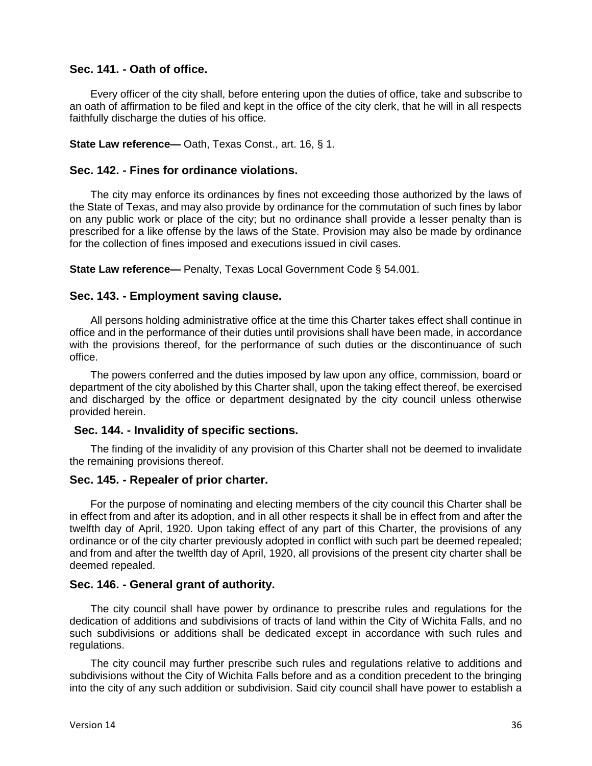## **Sec. 141. - Oath of office.**

Every officer of the city shall, before entering upon the duties of office, take and subscribe to an oath of affirmation to be filed and kept in the office of the city clerk, that he will in all respects faithfully discharge the duties of his office.

#### **State Law reference—** Oath, Texas Const., art. 16, § 1.

#### **Sec. 142. - Fines for ordinance violations.**

The city may enforce its ordinances by fines not exceeding those authorized by the laws of the State of Texas, and may also provide by ordinance for the commutation of such fines by labor on any public work or place of the city; but no ordinance shall provide a lesser penalty than is prescribed for a like offense by the laws of the State. Provision may also be made by ordinance for the collection of fines imposed and executions issued in civil cases.

**State Law reference—** Penalty, Texas Local Government Code § 54.001.

#### **Sec. 143. - Employment saving clause.**

All persons holding administrative office at the time this Charter takes effect shall continue in office and in the performance of their duties until provisions shall have been made, in accordance with the provisions thereof, for the performance of such duties or the discontinuance of such office.

The powers conferred and the duties imposed by law upon any office, commission, board or department of the city abolished by this Charter shall, upon the taking effect thereof, be exercised and discharged by the office or department designated by the city council unless otherwise provided herein.

#### **Sec. 144. - Invalidity of specific sections.**

The finding of the invalidity of any provision of this Charter shall not be deemed to invalidate the remaining provisions thereof.

#### **Sec. 145. - Repealer of prior charter.**

For the purpose of nominating and electing members of the city council this Charter shall be in effect from and after its adoption, and in all other respects it shall be in effect from and after the twelfth day of April, 1920. Upon taking effect of any part of this Charter, the provisions of any ordinance or of the city charter previously adopted in conflict with such part be deemed repealed; and from and after the twelfth day of April, 1920, all provisions of the present city charter shall be deemed repealed.

#### **Sec. 146. - General grant of authority.**

The city council shall have power by ordinance to prescribe rules and regulations for the dedication of additions and subdivisions of tracts of land within the City of Wichita Falls, and no such subdivisions or additions shall be dedicated except in accordance with such rules and regulations.

The city council may further prescribe such rules and regulations relative to additions and subdivisions without the City of Wichita Falls before and as a condition precedent to the bringing into the city of any such addition or subdivision. Said city council shall have power to establish a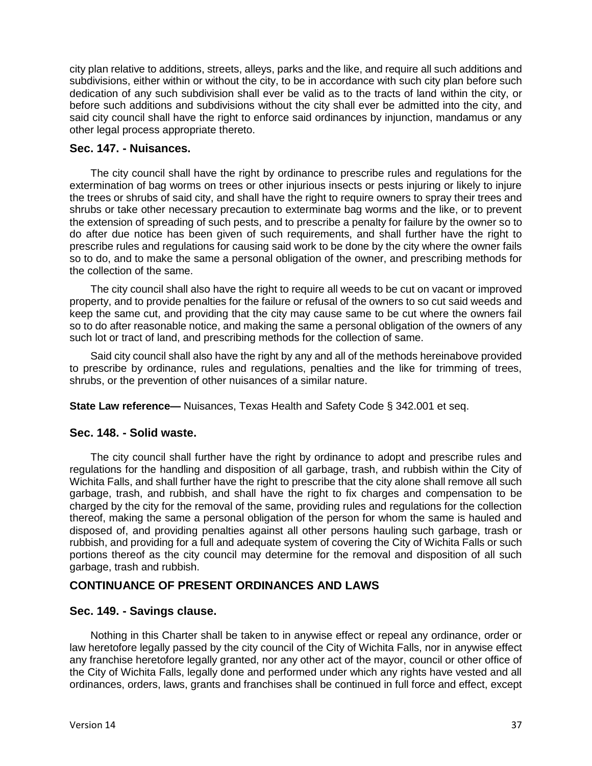city plan relative to additions, streets, alleys, parks and the like, and require all such additions and subdivisions, either within or without the city, to be in accordance with such city plan before such dedication of any such subdivision shall ever be valid as to the tracts of land within the city, or before such additions and subdivisions without the city shall ever be admitted into the city, and said city council shall have the right to enforce said ordinances by injunction, mandamus or any other legal process appropriate thereto.

## **Sec. 147. - Nuisances.**

The city council shall have the right by ordinance to prescribe rules and regulations for the extermination of bag worms on trees or other injurious insects or pests injuring or likely to injure the trees or shrubs of said city, and shall have the right to require owners to spray their trees and shrubs or take other necessary precaution to exterminate bag worms and the like, or to prevent the extension of spreading of such pests, and to prescribe a penalty for failure by the owner so to do after due notice has been given of such requirements, and shall further have the right to prescribe rules and regulations for causing said work to be done by the city where the owner fails so to do, and to make the same a personal obligation of the owner, and prescribing methods for the collection of the same.

The city council shall also have the right to require all weeds to be cut on vacant or improved property, and to provide penalties for the failure or refusal of the owners to so cut said weeds and keep the same cut, and providing that the city may cause same to be cut where the owners fail so to do after reasonable notice, and making the same a personal obligation of the owners of any such lot or tract of land, and prescribing methods for the collection of same.

Said city council shall also have the right by any and all of the methods hereinabove provided to prescribe by ordinance, rules and regulations, penalties and the like for trimming of trees, shrubs, or the prevention of other nuisances of a similar nature.

**State Law reference—** Nuisances, Texas Health and Safety Code § 342.001 et seq.

## **Sec. 148. - Solid waste.**

The city council shall further have the right by ordinance to adopt and prescribe rules and regulations for the handling and disposition of all garbage, trash, and rubbish within the City of Wichita Falls, and shall further have the right to prescribe that the city alone shall remove all such garbage, trash, and rubbish, and shall have the right to fix charges and compensation to be charged by the city for the removal of the same, providing rules and regulations for the collection thereof, making the same a personal obligation of the person for whom the same is hauled and disposed of, and providing penalties against all other persons hauling such garbage, trash or rubbish, and providing for a full and adequate system of covering the City of Wichita Falls or such portions thereof as the city council may determine for the removal and disposition of all such garbage, trash and rubbish.

## **CONTINUANCE OF PRESENT ORDINANCES AND LAWS**

## **Sec. 149. - Savings clause.**

Nothing in this Charter shall be taken to in anywise effect or repeal any ordinance, order or law heretofore legally passed by the city council of the City of Wichita Falls, nor in anywise effect any franchise heretofore legally granted, nor any other act of the mayor, council or other office of the City of Wichita Falls, legally done and performed under which any rights have vested and all ordinances, orders, laws, grants and franchises shall be continued in full force and effect, except